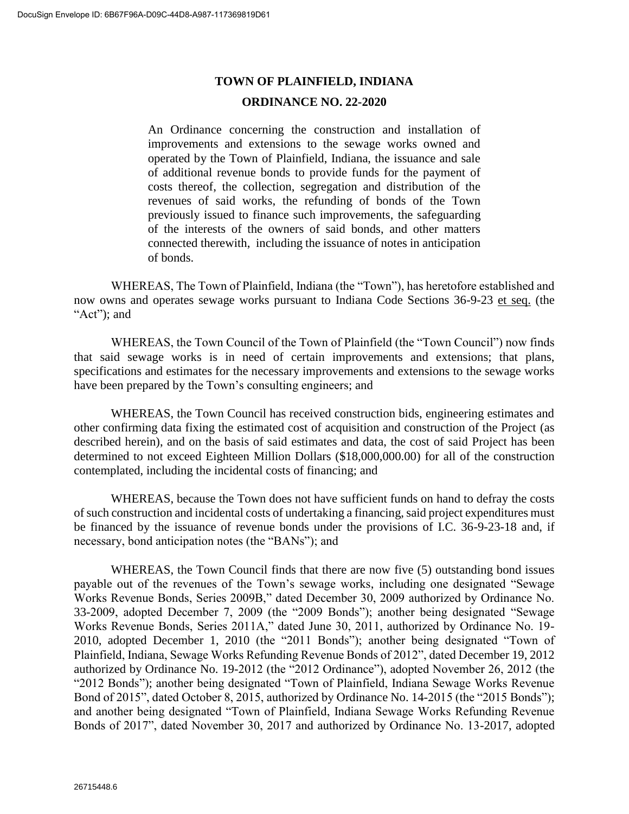# **TOWN OF PLAINFIELD, INDIANA ORDINANCE NO. 22-2020**

An Ordinance concerning the construction and installation of improvements and extensions to the sewage works owned and operated by the Town of Plainfield, Indiana, the issuance and sale of additional revenue bonds to provide funds for the payment of costs thereof, the collection, segregation and distribution of the revenues of said works, the refunding of bonds of the Town previously issued to finance such improvements, the safeguarding of the interests of the owners of said bonds, and other matters connected therewith, including the issuance of notes in anticipation of bonds.

WHEREAS, The Town of Plainfield, Indiana (the "Town"), has heretofore established and now owns and operates sewage works pursuant to Indiana Code Sections 36-9-23 et seq. (the "Act"); and

WHEREAS, the Town Council of the Town of Plainfield (the "Town Council") now finds that said sewage works is in need of certain improvements and extensions; that plans, specifications and estimates for the necessary improvements and extensions to the sewage works have been prepared by the Town's consulting engineers; and

WHEREAS, the Town Council has received construction bids, engineering estimates and other confirming data fixing the estimated cost of acquisition and construction of the Project (as described herein), and on the basis of said estimates and data, the cost of said Project has been determined to not exceed Eighteen Million Dollars (\$18,000,000.00) for all of the construction contemplated, including the incidental costs of financing; and

WHEREAS, because the Town does not have sufficient funds on hand to defray the costs of such construction and incidental costs of undertaking a financing, said project expenditures must be financed by the issuance of revenue bonds under the provisions of I.C. 36-9-23-18 and, if necessary, bond anticipation notes (the "BANs"); and

WHEREAS, the Town Council finds that there are now five (5) outstanding bond issues payable out of the revenues of the Town's sewage works, including one designated "Sewage Works Revenue Bonds, Series 2009B," dated December 30, 2009 authorized by Ordinance No. 33-2009, adopted December 7, 2009 (the "2009 Bonds"); another being designated "Sewage Works Revenue Bonds, Series 2011A," dated June 30, 2011, authorized by Ordinance No. 19- 2010, adopted December 1, 2010 (the "2011 Bonds"); another being designated "Town of Plainfield, Indiana, Sewage Works Refunding Revenue Bonds of 2012", dated December 19, 2012 authorized by Ordinance No. 19-2012 (the "2012 Ordinance"), adopted November 26, 2012 (the "2012 Bonds"); another being designated "Town of Plainfield, Indiana Sewage Works Revenue Bond of 2015", dated October 8, 2015, authorized by Ordinance No. 14-2015 (the "2015 Bonds"); and another being designated "Town of Plainfield, Indiana Sewage Works Refunding Revenue Bonds of 2017", dated November 30, 2017 and authorized by Ordinance No. 13-2017, adopted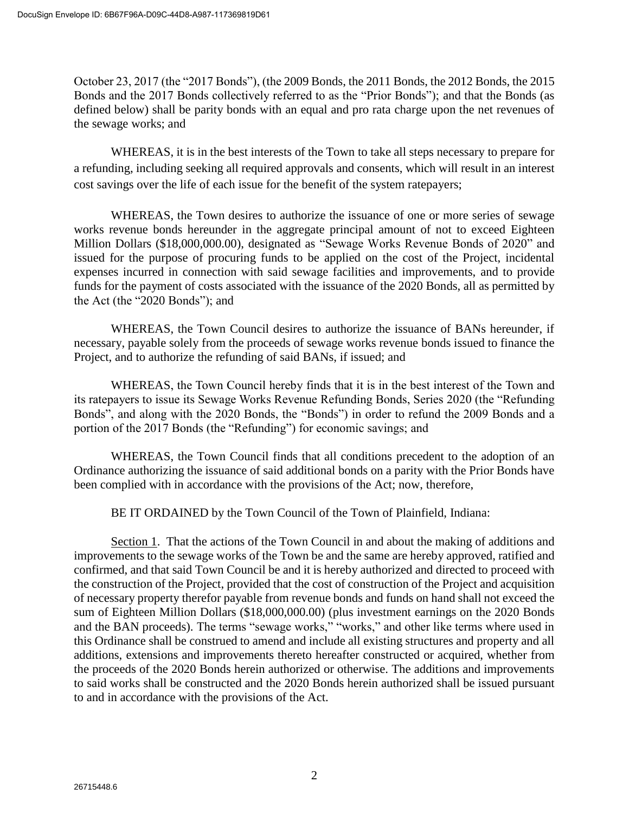October 23, 2017 (the "2017 Bonds"), (the 2009 Bonds, the 2011 Bonds, the 2012 Bonds, the 2015 Bonds and the 2017 Bonds collectively referred to as the "Prior Bonds"); and that the Bonds (as defined below) shall be parity bonds with an equal and pro rata charge upon the net revenues of the sewage works; and

WHEREAS, it is in the best interests of the Town to take all steps necessary to prepare for a refunding, including seeking all required approvals and consents, which will result in an interest cost savings over the life of each issue for the benefit of the system ratepayers;

WHEREAS, the Town desires to authorize the issuance of one or more series of sewage works revenue bonds hereunder in the aggregate principal amount of not to exceed Eighteen Million Dollars (\$18,000,000.00), designated as "Sewage Works Revenue Bonds of 2020" and issued for the purpose of procuring funds to be applied on the cost of the Project, incidental expenses incurred in connection with said sewage facilities and improvements, and to provide funds for the payment of costs associated with the issuance of the 2020 Bonds, all as permitted by the Act (the "2020 Bonds"); and

WHEREAS, the Town Council desires to authorize the issuance of BANs hereunder, if necessary, payable solely from the proceeds of sewage works revenue bonds issued to finance the Project, and to authorize the refunding of said BANs, if issued; and

WHEREAS, the Town Council hereby finds that it is in the best interest of the Town and its ratepayers to issue its Sewage Works Revenue Refunding Bonds, Series 2020 (the "Refunding Bonds", and along with the 2020 Bonds, the "Bonds") in order to refund the 2009 Bonds and a portion of the 2017 Bonds (the "Refunding") for economic savings; and

WHEREAS, the Town Council finds that all conditions precedent to the adoption of an Ordinance authorizing the issuance of said additional bonds on a parity with the Prior Bonds have been complied with in accordance with the provisions of the Act; now, therefore,

BE IT ORDAINED by the Town Council of the Town of Plainfield, Indiana:

Section 1. That the actions of the Town Council in and about the making of additions and improvements to the sewage works of the Town be and the same are hereby approved, ratified and confirmed, and that said Town Council be and it is hereby authorized and directed to proceed with the construction of the Project, provided that the cost of construction of the Project and acquisition of necessary property therefor payable from revenue bonds and funds on hand shall not exceed the sum of Eighteen Million Dollars (\$18,000,000.00) (plus investment earnings on the 2020 Bonds and the BAN proceeds). The terms "sewage works," "works," and other like terms where used in this Ordinance shall be construed to amend and include all existing structures and property and all additions, extensions and improvements thereto hereafter constructed or acquired, whether from the proceeds of the 2020 Bonds herein authorized or otherwise. The additions and improvements to said works shall be constructed and the 2020 Bonds herein authorized shall be issued pursuant to and in accordance with the provisions of the Act.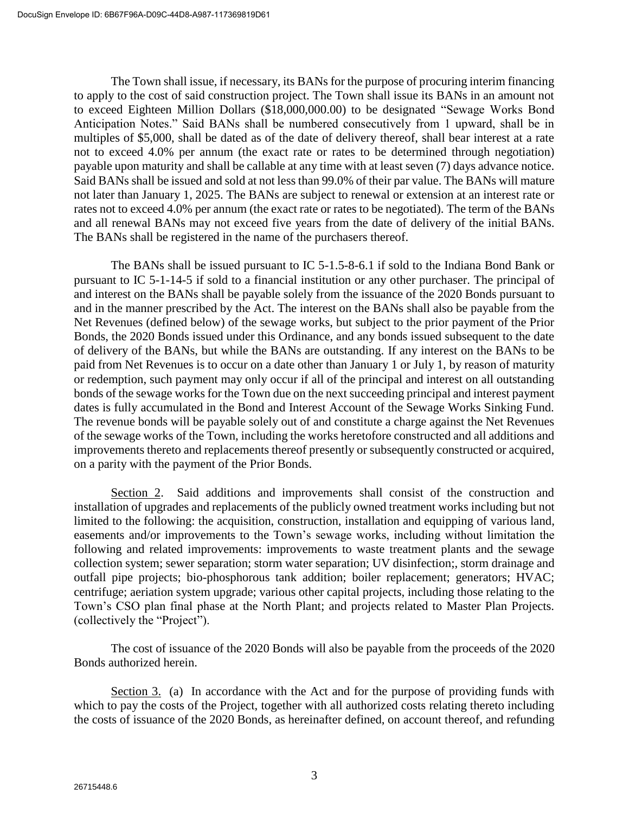The Town shall issue, if necessary, its BANs for the purpose of procuring interim financing to apply to the cost of said construction project. The Town shall issue its BANs in an amount not to exceed Eighteen Million Dollars (\$18,000,000.00) to be designated "Sewage Works Bond Anticipation Notes." Said BANs shall be numbered consecutively from 1 upward, shall be in multiples of \$5,000, shall be dated as of the date of delivery thereof, shall bear interest at a rate not to exceed 4.0% per annum (the exact rate or rates to be determined through negotiation) payable upon maturity and shall be callable at any time with at least seven (7) days advance notice. Said BANs shall be issued and sold at not less than 99.0% of their par value. The BANs will mature not later than January 1, 2025. The BANs are subject to renewal or extension at an interest rate or rates not to exceed 4.0% per annum (the exact rate or rates to be negotiated). The term of the BANs and all renewal BANs may not exceed five years from the date of delivery of the initial BANs. The BANs shall be registered in the name of the purchasers thereof.

The BANs shall be issued pursuant to IC 5-1.5-8-6.1 if sold to the Indiana Bond Bank or pursuant to IC 5-1-14-5 if sold to a financial institution or any other purchaser. The principal of and interest on the BANs shall be payable solely from the issuance of the 2020 Bonds pursuant to and in the manner prescribed by the Act. The interest on the BANs shall also be payable from the Net Revenues (defined below) of the sewage works, but subject to the prior payment of the Prior Bonds, the 2020 Bonds issued under this Ordinance, and any bonds issued subsequent to the date of delivery of the BANs, but while the BANs are outstanding. If any interest on the BANs to be paid from Net Revenues is to occur on a date other than January 1 or July 1, by reason of maturity or redemption, such payment may only occur if all of the principal and interest on all outstanding bonds of the sewage works for the Town due on the next succeeding principal and interest payment dates is fully accumulated in the Bond and Interest Account of the Sewage Works Sinking Fund. The revenue bonds will be payable solely out of and constitute a charge against the Net Revenues of the sewage works of the Town, including the works heretofore constructed and all additions and improvements thereto and replacements thereof presently or subsequently constructed or acquired, on a parity with the payment of the Prior Bonds.

Section 2. Said additions and improvements shall consist of the construction and installation of upgrades and replacements of the publicly owned treatment works including but not limited to the following: the acquisition, construction, installation and equipping of various land, easements and/or improvements to the Town's sewage works, including without limitation the following and related improvements: improvements to waste treatment plants and the sewage collection system; sewer separation; storm water separation; UV disinfection;, storm drainage and outfall pipe projects; bio-phosphorous tank addition; boiler replacement; generators; HVAC; centrifuge; aeriation system upgrade; various other capital projects, including those relating to the Town's CSO plan final phase at the North Plant; and projects related to Master Plan Projects. (collectively the "Project").

The cost of issuance of the 2020 Bonds will also be payable from the proceeds of the 2020 Bonds authorized herein.

Section 3. (a) In accordance with the Act and for the purpose of providing funds with which to pay the costs of the Project, together with all authorized costs relating thereto including the costs of issuance of the 2020 Bonds, as hereinafter defined, on account thereof, and refunding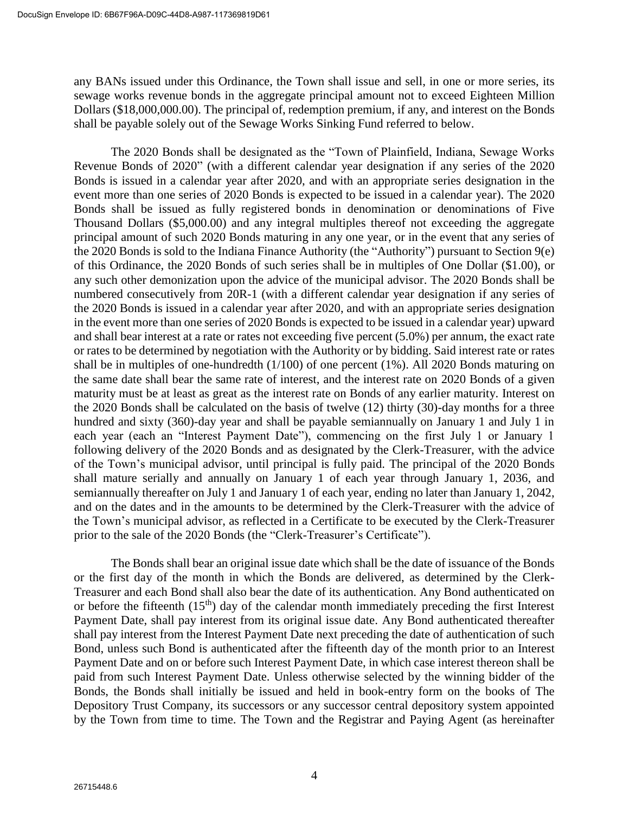any BANs issued under this Ordinance, the Town shall issue and sell, in one or more series, its sewage works revenue bonds in the aggregate principal amount not to exceed Eighteen Million Dollars (\$18,000,000.00). The principal of, redemption premium, if any, and interest on the Bonds shall be payable solely out of the Sewage Works Sinking Fund referred to below.

The 2020 Bonds shall be designated as the "Town of Plainfield, Indiana, Sewage Works Revenue Bonds of 2020" (with a different calendar year designation if any series of the 2020 Bonds is issued in a calendar year after 2020, and with an appropriate series designation in the event more than one series of 2020 Bonds is expected to be issued in a calendar year). The 2020 Bonds shall be issued as fully registered bonds in denomination or denominations of Five Thousand Dollars (\$5,000.00) and any integral multiples thereof not exceeding the aggregate principal amount of such 2020 Bonds maturing in any one year, or in the event that any series of the 2020 Bonds is sold to the Indiana Finance Authority (the "Authority") pursuant to Section 9(e) of this Ordinance, the 2020 Bonds of such series shall be in multiples of One Dollar (\$1.00), or any such other demonization upon the advice of the municipal advisor. The 2020 Bonds shall be numbered consecutively from 20R-1 (with a different calendar year designation if any series of the 2020 Bonds is issued in a calendar year after 2020, and with an appropriate series designation in the event more than one series of 2020 Bonds is expected to be issued in a calendar year) upward and shall bear interest at a rate or rates not exceeding five percent (5.0%) per annum, the exact rate or rates to be determined by negotiation with the Authority or by bidding. Said interest rate or rates shall be in multiples of one-hundredth (1/100) of one percent (1%). All 2020 Bonds maturing on the same date shall bear the same rate of interest, and the interest rate on 2020 Bonds of a given maturity must be at least as great as the interest rate on Bonds of any earlier maturity. Interest on the 2020 Bonds shall be calculated on the basis of twelve (12) thirty (30)-day months for a three hundred and sixty (360)-day year and shall be payable semiannually on January 1 and July 1 in each year (each an "Interest Payment Date"), commencing on the first July 1 or January 1 following delivery of the 2020 Bonds and as designated by the Clerk-Treasurer, with the advice of the Town's municipal advisor, until principal is fully paid. The principal of the 2020 Bonds shall mature serially and annually on January 1 of each year through January 1, 2036, and semiannually thereafter on July 1 and January 1 of each year, ending no later than January 1, 2042, and on the dates and in the amounts to be determined by the Clerk-Treasurer with the advice of the Town's municipal advisor, as reflected in a Certificate to be executed by the Clerk-Treasurer prior to the sale of the 2020 Bonds (the "Clerk-Treasurer's Certificate").

The Bonds shall bear an original issue date which shall be the date of issuance of the Bonds or the first day of the month in which the Bonds are delivered, as determined by the Clerk-Treasurer and each Bond shall also bear the date of its authentication. Any Bond authenticated on or before the fifteenth  $(15<sup>th</sup>)$  day of the calendar month immediately preceding the first Interest Payment Date, shall pay interest from its original issue date. Any Bond authenticated thereafter shall pay interest from the Interest Payment Date next preceding the date of authentication of such Bond, unless such Bond is authenticated after the fifteenth day of the month prior to an Interest Payment Date and on or before such Interest Payment Date, in which case interest thereon shall be paid from such Interest Payment Date. Unless otherwise selected by the winning bidder of the Bonds, the Bonds shall initially be issued and held in book-entry form on the books of The Depository Trust Company, its successors or any successor central depository system appointed by the Town from time to time. The Town and the Registrar and Paying Agent (as hereinafter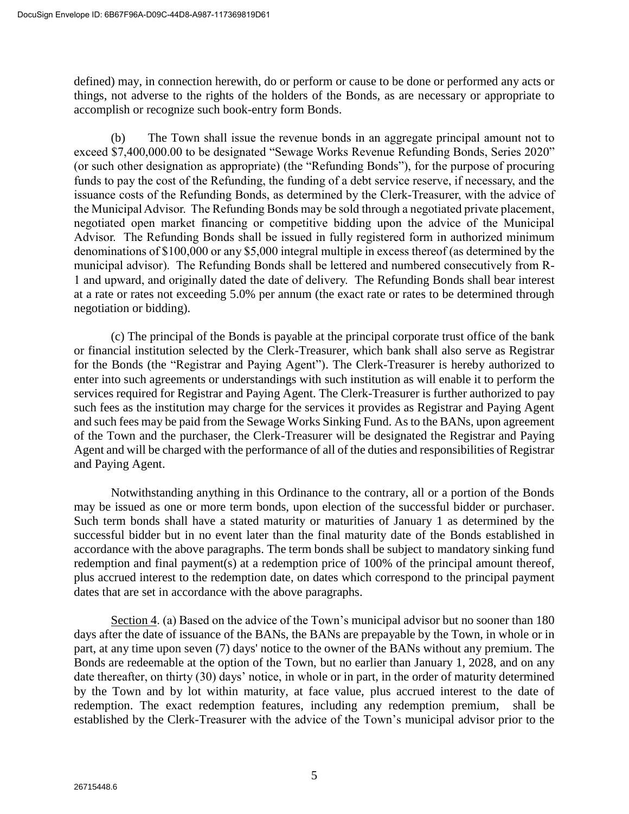defined) may, in connection herewith, do or perform or cause to be done or performed any acts or things, not adverse to the rights of the holders of the Bonds, as are necessary or appropriate to accomplish or recognize such book-entry form Bonds.

(b) The Town shall issue the revenue bonds in an aggregate principal amount not to exceed \$7,400,000.00 to be designated "Sewage Works Revenue Refunding Bonds, Series 2020" (or such other designation as appropriate) (the "Refunding Bonds"), for the purpose of procuring funds to pay the cost of the Refunding, the funding of a debt service reserve, if necessary, and the issuance costs of the Refunding Bonds, as determined by the Clerk-Treasurer, with the advice of the Municipal Advisor. The Refunding Bonds may be sold through a negotiated private placement, negotiated open market financing or competitive bidding upon the advice of the Municipal Advisor. The Refunding Bonds shall be issued in fully registered form in authorized minimum denominations of \$100,000 or any \$5,000 integral multiple in excess thereof (as determined by the municipal advisor). The Refunding Bonds shall be lettered and numbered consecutively from R-1 and upward, and originally dated the date of delivery. The Refunding Bonds shall bear interest at a rate or rates not exceeding 5.0% per annum (the exact rate or rates to be determined through negotiation or bidding).

(c) The principal of the Bonds is payable at the principal corporate trust office of the bank or financial institution selected by the Clerk-Treasurer, which bank shall also serve as Registrar for the Bonds (the "Registrar and Paying Agent"). The Clerk-Treasurer is hereby authorized to enter into such agreements or understandings with such institution as will enable it to perform the services required for Registrar and Paying Agent. The Clerk-Treasurer is further authorized to pay such fees as the institution may charge for the services it provides as Registrar and Paying Agent and such fees may be paid from the Sewage Works Sinking Fund. As to the BANs, upon agreement of the Town and the purchaser, the Clerk-Treasurer will be designated the Registrar and Paying Agent and will be charged with the performance of all of the duties and responsibilities of Registrar and Paying Agent.

Notwithstanding anything in this Ordinance to the contrary, all or a portion of the Bonds may be issued as one or more term bonds, upon election of the successful bidder or purchaser. Such term bonds shall have a stated maturity or maturities of January 1 as determined by the successful bidder but in no event later than the final maturity date of the Bonds established in accordance with the above paragraphs. The term bonds shall be subject to mandatory sinking fund redemption and final payment(s) at a redemption price of 100% of the principal amount thereof, plus accrued interest to the redemption date, on dates which correspond to the principal payment dates that are set in accordance with the above paragraphs.

Section 4. (a) Based on the advice of the Town's municipal advisor but no sooner than 180 days after the date of issuance of the BANs, the BANs are prepayable by the Town, in whole or in part, at any time upon seven (7) days' notice to the owner of the BANs without any premium. The Bonds are redeemable at the option of the Town, but no earlier than January 1, 2028, and on any date thereafter, on thirty (30) days' notice, in whole or in part, in the order of maturity determined by the Town and by lot within maturity, at face value, plus accrued interest to the date of redemption. The exact redemption features, including any redemption premium, shall be established by the Clerk-Treasurer with the advice of the Town's municipal advisor prior to the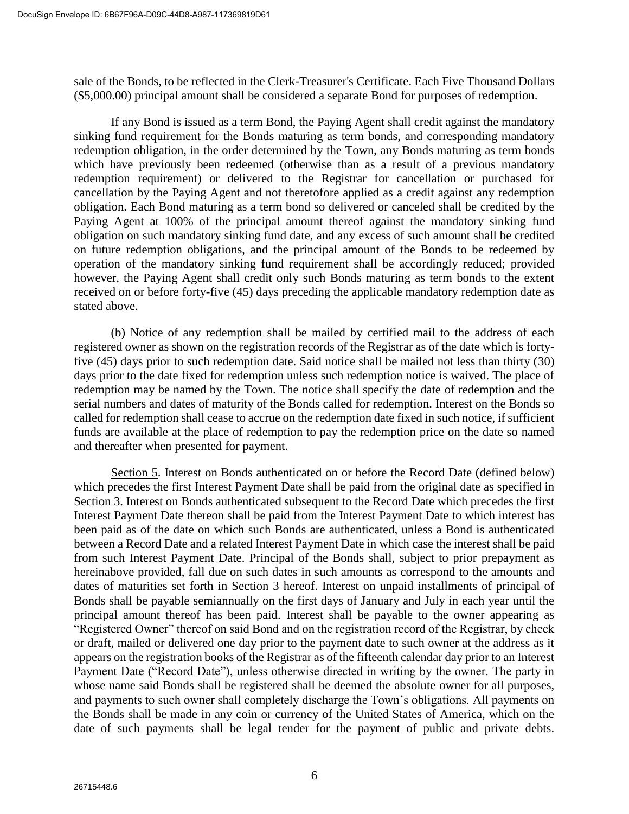sale of the Bonds, to be reflected in the Clerk-Treasurer's Certificate. Each Five Thousand Dollars (\$5,000.00) principal amount shall be considered a separate Bond for purposes of redemption.

If any Bond is issued as a term Bond, the Paying Agent shall credit against the mandatory sinking fund requirement for the Bonds maturing as term bonds, and corresponding mandatory redemption obligation, in the order determined by the Town, any Bonds maturing as term bonds which have previously been redeemed (otherwise than as a result of a previous mandatory redemption requirement) or delivered to the Registrar for cancellation or purchased for cancellation by the Paying Agent and not theretofore applied as a credit against any redemption obligation. Each Bond maturing as a term bond so delivered or canceled shall be credited by the Paying Agent at 100% of the principal amount thereof against the mandatory sinking fund obligation on such mandatory sinking fund date, and any excess of such amount shall be credited on future redemption obligations, and the principal amount of the Bonds to be redeemed by operation of the mandatory sinking fund requirement shall be accordingly reduced; provided however, the Paying Agent shall credit only such Bonds maturing as term bonds to the extent received on or before forty-five (45) days preceding the applicable mandatory redemption date as stated above.

(b) Notice of any redemption shall be mailed by certified mail to the address of each registered owner as shown on the registration records of the Registrar as of the date which is fortyfive (45) days prior to such redemption date. Said notice shall be mailed not less than thirty (30) days prior to the date fixed for redemption unless such redemption notice is waived. The place of redemption may be named by the Town. The notice shall specify the date of redemption and the serial numbers and dates of maturity of the Bonds called for redemption. Interest on the Bonds so called for redemption shall cease to accrue on the redemption date fixed in such notice, if sufficient funds are available at the place of redemption to pay the redemption price on the date so named and thereafter when presented for payment.

Section 5. Interest on Bonds authenticated on or before the Record Date (defined below) which precedes the first Interest Payment Date shall be paid from the original date as specified in Section 3. Interest on Bonds authenticated subsequent to the Record Date which precedes the first Interest Payment Date thereon shall be paid from the Interest Payment Date to which interest has been paid as of the date on which such Bonds are authenticated, unless a Bond is authenticated between a Record Date and a related Interest Payment Date in which case the interest shall be paid from such Interest Payment Date. Principal of the Bonds shall, subject to prior prepayment as hereinabove provided, fall due on such dates in such amounts as correspond to the amounts and dates of maturities set forth in Section 3 hereof. Interest on unpaid installments of principal of Bonds shall be payable semiannually on the first days of January and July in each year until the principal amount thereof has been paid. Interest shall be payable to the owner appearing as "Registered Owner" thereof on said Bond and on the registration record of the Registrar, by check or draft, mailed or delivered one day prior to the payment date to such owner at the address as it appears on the registration books of the Registrar as of the fifteenth calendar day prior to an Interest Payment Date ("Record Date"), unless otherwise directed in writing by the owner. The party in whose name said Bonds shall be registered shall be deemed the absolute owner for all purposes, and payments to such owner shall completely discharge the Town's obligations. All payments on the Bonds shall be made in any coin or currency of the United States of America, which on the date of such payments shall be legal tender for the payment of public and private debts.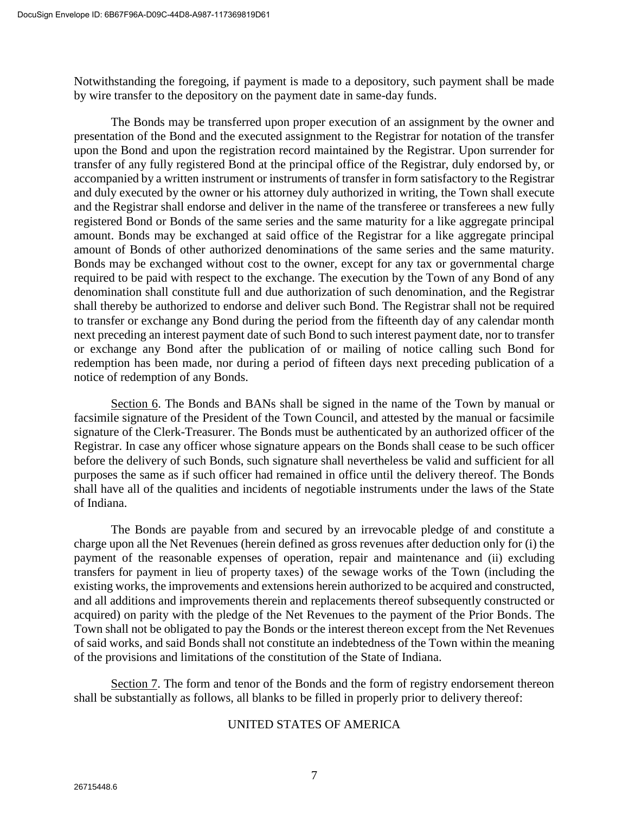Notwithstanding the foregoing, if payment is made to a depository, such payment shall be made by wire transfer to the depository on the payment date in same-day funds.

The Bonds may be transferred upon proper execution of an assignment by the owner and presentation of the Bond and the executed assignment to the Registrar for notation of the transfer upon the Bond and upon the registration record maintained by the Registrar. Upon surrender for transfer of any fully registered Bond at the principal office of the Registrar, duly endorsed by, or accompanied by a written instrument or instruments of transfer in form satisfactory to the Registrar and duly executed by the owner or his attorney duly authorized in writing, the Town shall execute and the Registrar shall endorse and deliver in the name of the transferee or transferees a new fully registered Bond or Bonds of the same series and the same maturity for a like aggregate principal amount. Bonds may be exchanged at said office of the Registrar for a like aggregate principal amount of Bonds of other authorized denominations of the same series and the same maturity. Bonds may be exchanged without cost to the owner, except for any tax or governmental charge required to be paid with respect to the exchange. The execution by the Town of any Bond of any denomination shall constitute full and due authorization of such denomination, and the Registrar shall thereby be authorized to endorse and deliver such Bond. The Registrar shall not be required to transfer or exchange any Bond during the period from the fifteenth day of any calendar month next preceding an interest payment date of such Bond to such interest payment date, nor to transfer or exchange any Bond after the publication of or mailing of notice calling such Bond for redemption has been made, nor during a period of fifteen days next preceding publication of a notice of redemption of any Bonds.

Section 6. The Bonds and BANs shall be signed in the name of the Town by manual or facsimile signature of the President of the Town Council, and attested by the manual or facsimile signature of the Clerk-Treasurer. The Bonds must be authenticated by an authorized officer of the Registrar. In case any officer whose signature appears on the Bonds shall cease to be such officer before the delivery of such Bonds, such signature shall nevertheless be valid and sufficient for all purposes the same as if such officer had remained in office until the delivery thereof. The Bonds shall have all of the qualities and incidents of negotiable instruments under the laws of the State of Indiana.

The Bonds are payable from and secured by an irrevocable pledge of and constitute a charge upon all the Net Revenues (herein defined as gross revenues after deduction only for (i) the payment of the reasonable expenses of operation, repair and maintenance and (ii) excluding transfers for payment in lieu of property taxes) of the sewage works of the Town (including the existing works, the improvements and extensions herein authorized to be acquired and constructed, and all additions and improvements therein and replacements thereof subsequently constructed or acquired) on parity with the pledge of the Net Revenues to the payment of the Prior Bonds. The Town shall not be obligated to pay the Bonds or the interest thereon except from the Net Revenues of said works, and said Bonds shall not constitute an indebtedness of the Town within the meaning of the provisions and limitations of the constitution of the State of Indiana.

Section 7. The form and tenor of the Bonds and the form of registry endorsement thereon shall be substantially as follows, all blanks to be filled in properly prior to delivery thereof:

### UNITED STATES OF AMERICA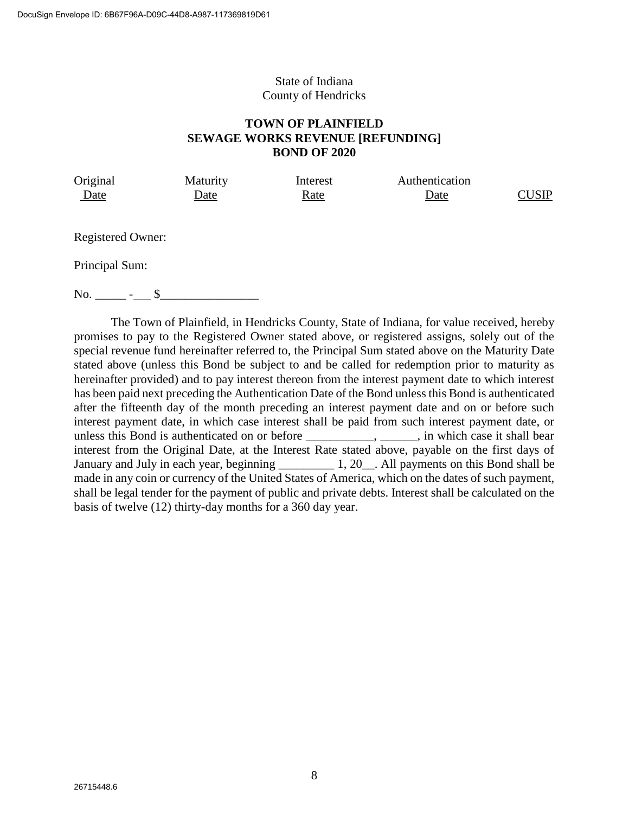### State of Indiana County of Hendricks

## **TOWN OF PLAINFIELD SEWAGE WORKS REVENUE [REFUNDING] BOND OF 2020**

| Original    | Maturity | Interest | Authentication |              |
|-------------|----------|----------|----------------|--------------|
| <u>Date</u> | Jate     | Rate     | Date           | <b>CUSIP</b> |

Registered Owner:

Principal Sum:

 $\text{No.} \qquad - \qquad - \qquad$ 

The Town of Plainfield, in Hendricks County, State of Indiana, for value received, hereby promises to pay to the Registered Owner stated above, or registered assigns, solely out of the special revenue fund hereinafter referred to, the Principal Sum stated above on the Maturity Date stated above (unless this Bond be subject to and be called for redemption prior to maturity as hereinafter provided) and to pay interest thereon from the interest payment date to which interest has been paid next preceding the Authentication Date of the Bond unless this Bond is authenticated after the fifteenth day of the month preceding an interest payment date and on or before such interest payment date, in which case interest shall be paid from such interest payment date, or unless this Bond is authenticated on or before \_\_\_\_\_\_\_\_\_\_\_, \_\_\_\_\_\_, in which case it shall bear interest from the Original Date, at the Interest Rate stated above, payable on the first days of January and July in each year, beginning 1, 20. All payments on this Bond shall be made in any coin or currency of the United States of America, which on the dates of such payment, shall be legal tender for the payment of public and private debts. Interest shall be calculated on the basis of twelve (12) thirty-day months for a 360 day year.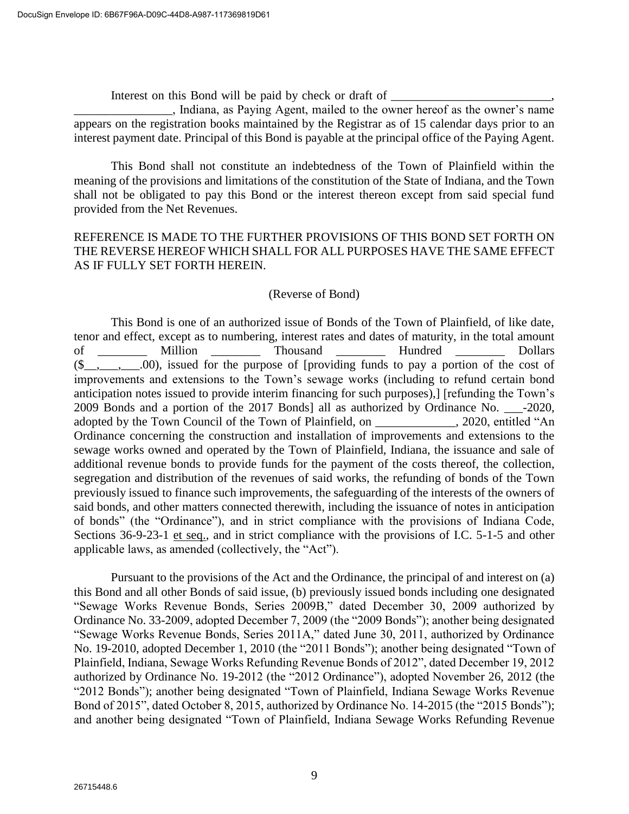Interest on this Bond will be paid by check or draft of \_\_\_\_\_\_\_\_\_\_\_\_\_\_\_\_\_\_\_\_\_\_\_\_

\_\_\_\_\_\_\_\_\_\_\_\_\_\_\_\_, Indiana, as Paying Agent, mailed to the owner hereof as the owner's name appears on the registration books maintained by the Registrar as of 15 calendar days prior to an interest payment date. Principal of this Bond is payable at the principal office of the Paying Agent.

This Bond shall not constitute an indebtedness of the Town of Plainfield within the meaning of the provisions and limitations of the constitution of the State of Indiana, and the Town shall not be obligated to pay this Bond or the interest thereon except from said special fund provided from the Net Revenues.

## REFERENCE IS MADE TO THE FURTHER PROVISIONS OF THIS BOND SET FORTH ON THE REVERSE HEREOF WHICH SHALL FOR ALL PURPOSES HAVE THE SAME EFFECT AS IF FULLY SET FORTH HEREIN.

### (Reverse of Bond)

This Bond is one of an authorized issue of Bonds of the Town of Plainfield, of like date, tenor and effect, except as to numbering, interest rates and dates of maturity, in the total amount of \_\_\_\_\_\_\_\_\_ Million \_\_\_\_\_\_\_\_ Thousand \_\_\_\_\_\_\_\_ Hundred \_\_\_\_\_\_\_\_ Dollars  $(\underline{\$}_{\_},\_,\_,\_$ .00), issued for the purpose of [providing funds to pay a portion of the cost of improvements and extensions to the Town's sewage works (including to refund certain bond anticipation notes issued to provide interim financing for such purposes),] [refunding the Town's 2009 Bonds and a portion of the 2017 Bonds] all as authorized by Ordinance No.  $-2020$ , adopted by the Town Council of the Town of Plainfield, on \_\_\_\_\_\_\_\_\_\_\_\_\_, 2020, entitled "An Ordinance concerning the construction and installation of improvements and extensions to the sewage works owned and operated by the Town of Plainfield, Indiana, the issuance and sale of additional revenue bonds to provide funds for the payment of the costs thereof, the collection, segregation and distribution of the revenues of said works, the refunding of bonds of the Town previously issued to finance such improvements, the safeguarding of the interests of the owners of said bonds, and other matters connected therewith, including the issuance of notes in anticipation of bonds" (the "Ordinance"), and in strict compliance with the provisions of Indiana Code, Sections 36-9-23-1 et seq., and in strict compliance with the provisions of I.C. 5-1-5 and other applicable laws, as amended (collectively, the "Act").

Pursuant to the provisions of the Act and the Ordinance, the principal of and interest on (a) this Bond and all other Bonds of said issue, (b) previously issued bonds including one designated "Sewage Works Revenue Bonds, Series 2009B," dated December 30, 2009 authorized by Ordinance No. 33-2009, adopted December 7, 2009 (the "2009 Bonds"); another being designated "Sewage Works Revenue Bonds, Series 2011A," dated June 30, 2011, authorized by Ordinance No. 19-2010, adopted December 1, 2010 (the "2011 Bonds"); another being designated "Town of Plainfield, Indiana, Sewage Works Refunding Revenue Bonds of 2012", dated December 19, 2012 authorized by Ordinance No. 19-2012 (the "2012 Ordinance"), adopted November 26, 2012 (the "2012 Bonds"); another being designated "Town of Plainfield, Indiana Sewage Works Revenue Bond of 2015", dated October 8, 2015, authorized by Ordinance No. 14-2015 (the "2015 Bonds"); and another being designated "Town of Plainfield, Indiana Sewage Works Refunding Revenue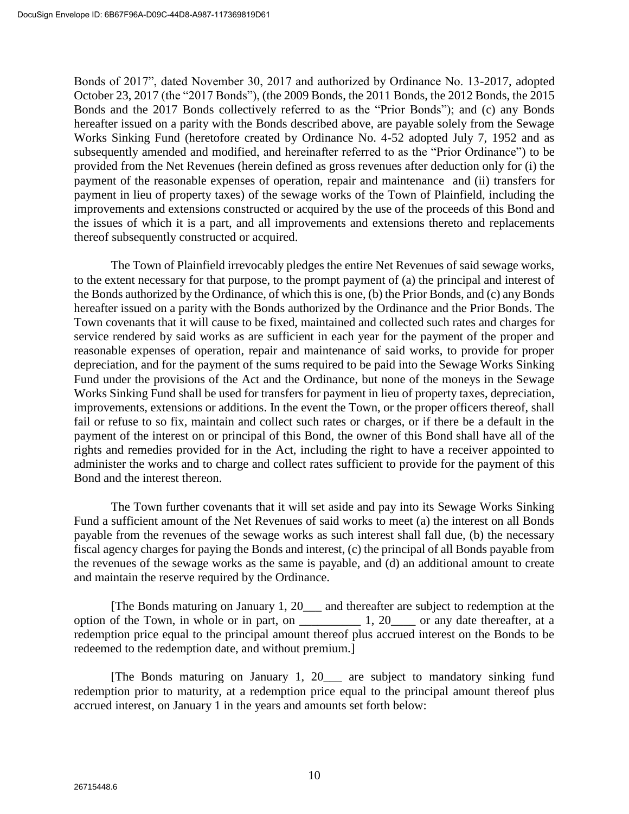Bonds of 2017", dated November 30, 2017 and authorized by Ordinance No. 13-2017, adopted October 23, 2017 (the "2017 Bonds"), (the 2009 Bonds, the 2011 Bonds, the 2012 Bonds, the 2015 Bonds and the 2017 Bonds collectively referred to as the "Prior Bonds"); and (c) any Bonds hereafter issued on a parity with the Bonds described above, are payable solely from the Sewage Works Sinking Fund (heretofore created by Ordinance No. 4-52 adopted July 7, 1952 and as subsequently amended and modified, and hereinafter referred to as the "Prior Ordinance") to be provided from the Net Revenues (herein defined as gross revenues after deduction only for (i) the payment of the reasonable expenses of operation, repair and maintenance and (ii) transfers for payment in lieu of property taxes) of the sewage works of the Town of Plainfield, including the improvements and extensions constructed or acquired by the use of the proceeds of this Bond and the issues of which it is a part, and all improvements and extensions thereto and replacements thereof subsequently constructed or acquired.

The Town of Plainfield irrevocably pledges the entire Net Revenues of said sewage works, to the extent necessary for that purpose, to the prompt payment of (a) the principal and interest of the Bonds authorized by the Ordinance, of which this is one, (b) the Prior Bonds, and (c) any Bonds hereafter issued on a parity with the Bonds authorized by the Ordinance and the Prior Bonds. The Town covenants that it will cause to be fixed, maintained and collected such rates and charges for service rendered by said works as are sufficient in each year for the payment of the proper and reasonable expenses of operation, repair and maintenance of said works, to provide for proper depreciation, and for the payment of the sums required to be paid into the Sewage Works Sinking Fund under the provisions of the Act and the Ordinance, but none of the moneys in the Sewage Works Sinking Fund shall be used for transfers for payment in lieu of property taxes, depreciation, improvements, extensions or additions. In the event the Town, or the proper officers thereof, shall fail or refuse to so fix, maintain and collect such rates or charges, or if there be a default in the payment of the interest on or principal of this Bond, the owner of this Bond shall have all of the rights and remedies provided for in the Act, including the right to have a receiver appointed to administer the works and to charge and collect rates sufficient to provide for the payment of this Bond and the interest thereon.

The Town further covenants that it will set aside and pay into its Sewage Works Sinking Fund a sufficient amount of the Net Revenues of said works to meet (a) the interest on all Bonds payable from the revenues of the sewage works as such interest shall fall due, (b) the necessary fiscal agency charges for paying the Bonds and interest, (c) the principal of all Bonds payable from the revenues of the sewage works as the same is payable, and (d) an additional amount to create and maintain the reserve required by the Ordinance.

[The Bonds maturing on January 1, 20\_\_\_ and thereafter are subject to redemption at the option of the Town, in whole or in part, on  $1, 20$  or any date thereafter, at a redemption price equal to the principal amount thereof plus accrued interest on the Bonds to be redeemed to the redemption date, and without premium.]

[The Bonds maturing on January 1, 20\_\_\_ are subject to mandatory sinking fund redemption prior to maturity, at a redemption price equal to the principal amount thereof plus accrued interest, on January 1 in the years and amounts set forth below: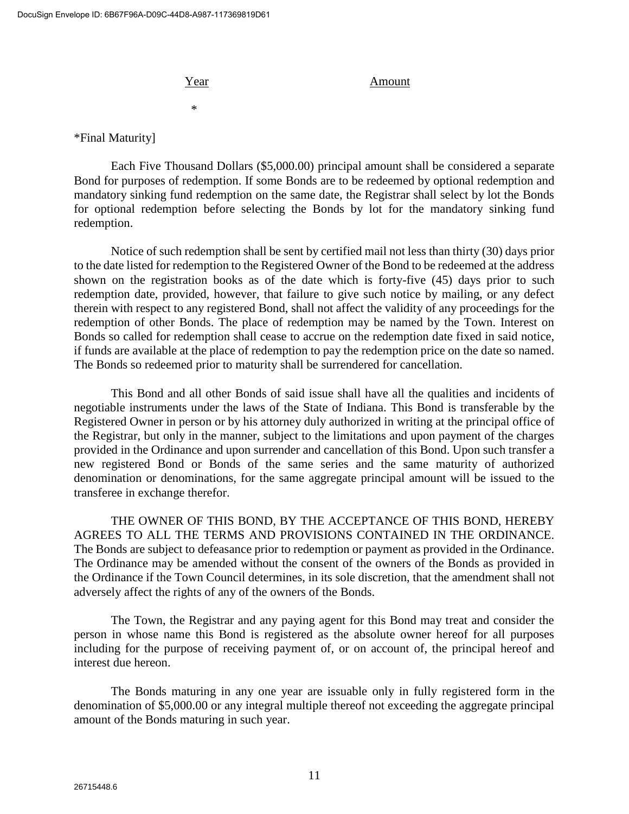#### Year Amount

\*

\*Final Maturity]

Each Five Thousand Dollars (\$5,000.00) principal amount shall be considered a separate Bond for purposes of redemption. If some Bonds are to be redeemed by optional redemption and mandatory sinking fund redemption on the same date, the Registrar shall select by lot the Bonds for optional redemption before selecting the Bonds by lot for the mandatory sinking fund redemption.

Notice of such redemption shall be sent by certified mail not less than thirty (30) days prior to the date listed for redemption to the Registered Owner of the Bond to be redeemed at the address shown on the registration books as of the date which is forty-five (45) days prior to such redemption date, provided, however, that failure to give such notice by mailing, or any defect therein with respect to any registered Bond, shall not affect the validity of any proceedings for the redemption of other Bonds. The place of redemption may be named by the Town. Interest on Bonds so called for redemption shall cease to accrue on the redemption date fixed in said notice, if funds are available at the place of redemption to pay the redemption price on the date so named. The Bonds so redeemed prior to maturity shall be surrendered for cancellation.

This Bond and all other Bonds of said issue shall have all the qualities and incidents of negotiable instruments under the laws of the State of Indiana. This Bond is transferable by the Registered Owner in person or by his attorney duly authorized in writing at the principal office of the Registrar, but only in the manner, subject to the limitations and upon payment of the charges provided in the Ordinance and upon surrender and cancellation of this Bond. Upon such transfer a new registered Bond or Bonds of the same series and the same maturity of authorized denomination or denominations, for the same aggregate principal amount will be issued to the transferee in exchange therefor.

THE OWNER OF THIS BOND, BY THE ACCEPTANCE OF THIS BOND, HEREBY AGREES TO ALL THE TERMS AND PROVISIONS CONTAINED IN THE ORDINANCE. The Bonds are subject to defeasance prior to redemption or payment as provided in the Ordinance. The Ordinance may be amended without the consent of the owners of the Bonds as provided in the Ordinance if the Town Council determines, in its sole discretion, that the amendment shall not adversely affect the rights of any of the owners of the Bonds.

The Town, the Registrar and any paying agent for this Bond may treat and consider the person in whose name this Bond is registered as the absolute owner hereof for all purposes including for the purpose of receiving payment of, or on account of, the principal hereof and interest due hereon.

The Bonds maturing in any one year are issuable only in fully registered form in the denomination of \$5,000.00 or any integral multiple thereof not exceeding the aggregate principal amount of the Bonds maturing in such year.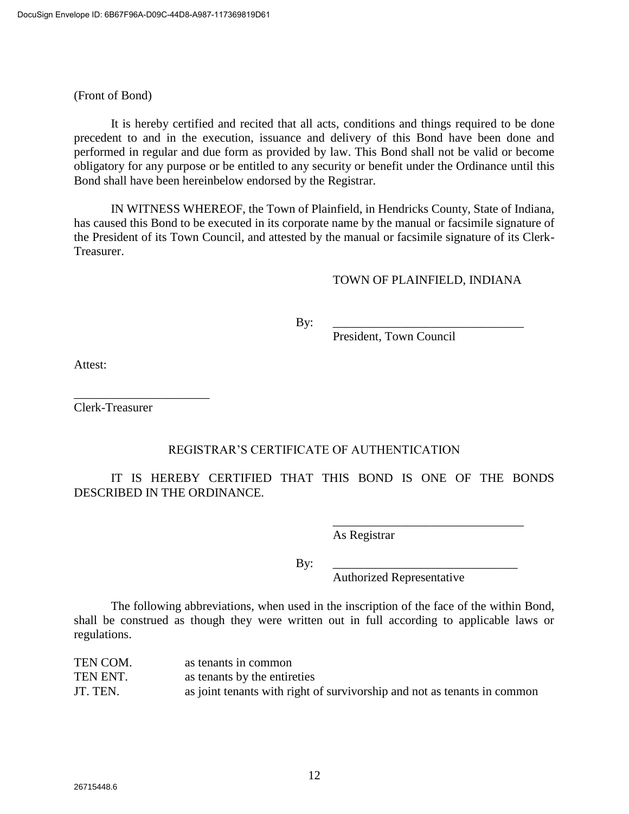(Front of Bond)

It is hereby certified and recited that all acts, conditions and things required to be done precedent to and in the execution, issuance and delivery of this Bond have been done and performed in regular and due form as provided by law. This Bond shall not be valid or become obligatory for any purpose or be entitled to any security or benefit under the Ordinance until this Bond shall have been hereinbelow endorsed by the Registrar.

IN WITNESS WHEREOF, the Town of Plainfield, in Hendricks County, State of Indiana, has caused this Bond to be executed in its corporate name by the manual or facsimile signature of the President of its Town Council, and attested by the manual or facsimile signature of its Clerk-Treasurer.

## TOWN OF PLAINFIELD, INDIANA

By: \_\_\_\_\_\_\_\_\_\_\_\_\_\_\_\_\_\_\_\_\_\_\_\_\_\_\_\_\_\_\_

President, Town Council

Attest:

Clerk-Treasurer

\_\_\_\_\_\_\_\_\_\_\_\_\_\_\_\_\_\_\_\_\_\_

## REGISTRAR'S CERTIFICATE OF AUTHENTICATION

IT IS HEREBY CERTIFIED THAT THIS BOND IS ONE OF THE BONDS DESCRIBED IN THE ORDINANCE.

As Registrar

By: \_\_\_\_\_\_\_\_\_\_\_\_\_\_\_\_\_\_\_\_\_\_\_\_\_\_\_\_\_\_

Authorized Representative

\_\_\_\_\_\_\_\_\_\_\_\_\_\_\_\_\_\_\_\_\_\_\_\_\_\_\_\_\_\_\_

The following abbreviations, when used in the inscription of the face of the within Bond, shall be construed as though they were written out in full according to applicable laws or regulations.

| TEN COM. | as tenants in common                                                     |
|----------|--------------------------------------------------------------------------|
| TEN ENT. | as tenants by the entireties                                             |
| JT. TEN. | as joint tenants with right of survivorship and not as tenants in common |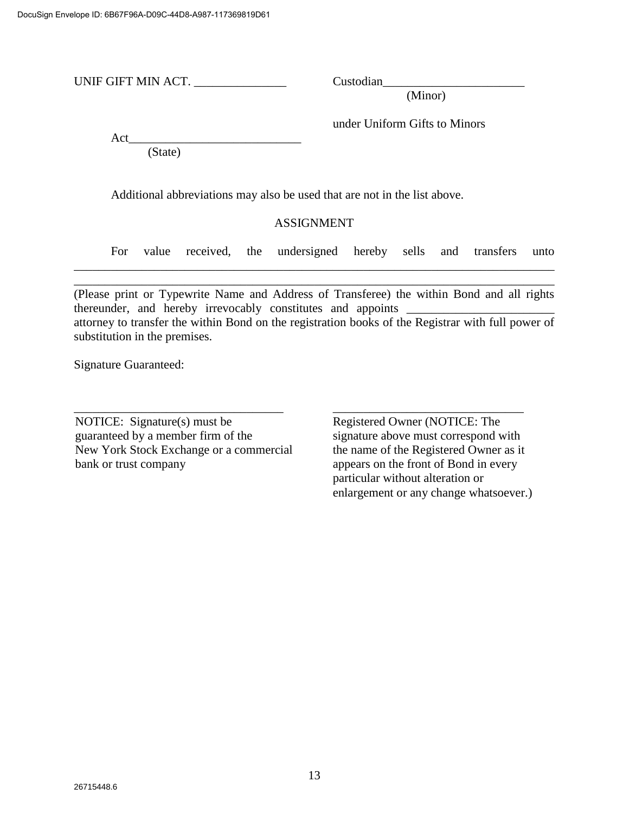UNIF GIFT MIN ACT. \_\_\_\_\_\_\_\_\_\_\_\_\_\_\_ Custodian\_\_\_\_\_\_\_\_\_\_\_\_\_\_\_\_\_\_\_\_\_\_\_

(Minor)

under Uniform Gifts to Minors

Act\_\_\_\_\_\_\_\_\_\_\_\_\_\_\_\_\_\_\_\_\_\_\_\_\_\_\_\_

(State)

Additional abbreviations may also be used that are not in the list above.

## ASSIGNMENT

\_\_\_\_\_\_\_\_\_\_\_\_\_\_\_\_\_\_\_\_\_\_\_\_\_\_\_\_\_\_\_\_\_\_\_\_\_\_\_\_\_\_\_\_\_\_\_\_\_\_\_\_\_\_\_\_\_\_\_\_\_\_\_\_\_\_\_\_\_\_\_\_\_\_\_\_\_\_ \_\_\_\_\_\_\_\_\_\_\_\_\_\_\_\_\_\_\_\_\_\_\_\_\_\_\_\_\_\_\_\_\_\_\_\_\_\_\_\_\_\_\_\_\_\_\_\_\_\_\_\_\_\_\_\_\_\_\_\_\_\_\_\_\_\_\_\_\_\_\_\_\_\_\_\_\_\_

For value received, the undersigned hereby sells and transfers unto

(Please print or Typewrite Name and Address of Transferee) the within Bond and all rights thereunder, and hereby irrevocably constitutes and appoints attorney to transfer the within Bond on the registration books of the Registrar with full power of substitution in the premises.

\_\_\_\_\_\_\_\_\_\_\_\_\_\_\_\_\_\_\_\_\_\_\_\_\_\_\_\_\_\_\_\_\_\_ \_\_\_\_\_\_\_\_\_\_\_\_\_\_\_\_\_\_\_\_\_\_\_\_\_\_\_\_\_\_\_

Signature Guaranteed:

NOTICE: Signature(s) must be Registered Owner (NOTICE: The guaranteed by a member firm of the signature above must correspond with New York Stock Exchange or a commercial the name of the Registered Owner as it bank or trust company appears on the front of Bond in every

particular without alteration or enlargement or any change whatsoever.)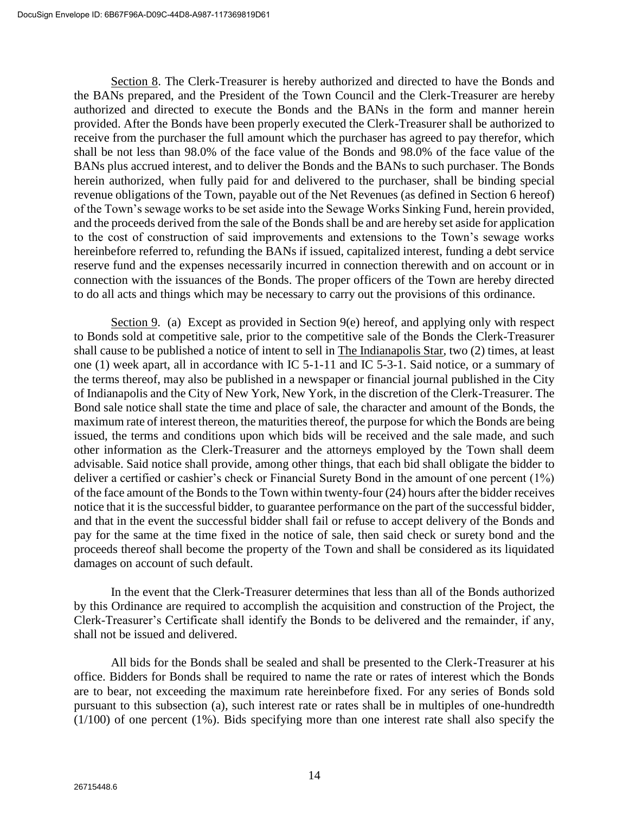Section 8. The Clerk-Treasurer is hereby authorized and directed to have the Bonds and the BANs prepared, and the President of the Town Council and the Clerk-Treasurer are hereby authorized and directed to execute the Bonds and the BANs in the form and manner herein provided. After the Bonds have been properly executed the Clerk-Treasurer shall be authorized to receive from the purchaser the full amount which the purchaser has agreed to pay therefor, which shall be not less than 98.0% of the face value of the Bonds and 98.0% of the face value of the BANs plus accrued interest, and to deliver the Bonds and the BANs to such purchaser. The Bonds herein authorized, when fully paid for and delivered to the purchaser, shall be binding special revenue obligations of the Town, payable out of the Net Revenues (as defined in Section 6 hereof) of the Town's sewage works to be set aside into the Sewage Works Sinking Fund, herein provided, and the proceeds derived from the sale of the Bonds shall be and are hereby set aside for application to the cost of construction of said improvements and extensions to the Town's sewage works hereinbefore referred to, refunding the BANs if issued, capitalized interest, funding a debt service reserve fund and the expenses necessarily incurred in connection therewith and on account or in connection with the issuances of the Bonds. The proper officers of the Town are hereby directed to do all acts and things which may be necessary to carry out the provisions of this ordinance.

Section 9. (a) Except as provided in Section 9(e) hereof, and applying only with respect to Bonds sold at competitive sale, prior to the competitive sale of the Bonds the Clerk-Treasurer shall cause to be published a notice of intent to sell in The Indianapolis Star, two (2) times, at least one (1) week apart, all in accordance with IC 5-1-11 and IC 5-3-1. Said notice, or a summary of the terms thereof, may also be published in a newspaper or financial journal published in the City of Indianapolis and the City of New York, New York, in the discretion of the Clerk-Treasurer. The Bond sale notice shall state the time and place of sale, the character and amount of the Bonds, the maximum rate of interest thereon, the maturities thereof, the purpose for which the Bonds are being issued, the terms and conditions upon which bids will be received and the sale made, and such other information as the Clerk-Treasurer and the attorneys employed by the Town shall deem advisable. Said notice shall provide, among other things, that each bid shall obligate the bidder to deliver a certified or cashier's check or Financial Surety Bond in the amount of one percent (1%) of the face amount of the Bonds to the Town within twenty-four (24) hours after the bidder receives notice that it is the successful bidder, to guarantee performance on the part of the successful bidder, and that in the event the successful bidder shall fail or refuse to accept delivery of the Bonds and pay for the same at the time fixed in the notice of sale, then said check or surety bond and the proceeds thereof shall become the property of the Town and shall be considered as its liquidated damages on account of such default.

In the event that the Clerk-Treasurer determines that less than all of the Bonds authorized by this Ordinance are required to accomplish the acquisition and construction of the Project, the Clerk-Treasurer's Certificate shall identify the Bonds to be delivered and the remainder, if any, shall not be issued and delivered.

All bids for the Bonds shall be sealed and shall be presented to the Clerk-Treasurer at his office. Bidders for Bonds shall be required to name the rate or rates of interest which the Bonds are to bear, not exceeding the maximum rate hereinbefore fixed. For any series of Bonds sold pursuant to this subsection (a), such interest rate or rates shall be in multiples of one-hundredth (1/100) of one percent (1%). Bids specifying more than one interest rate shall also specify the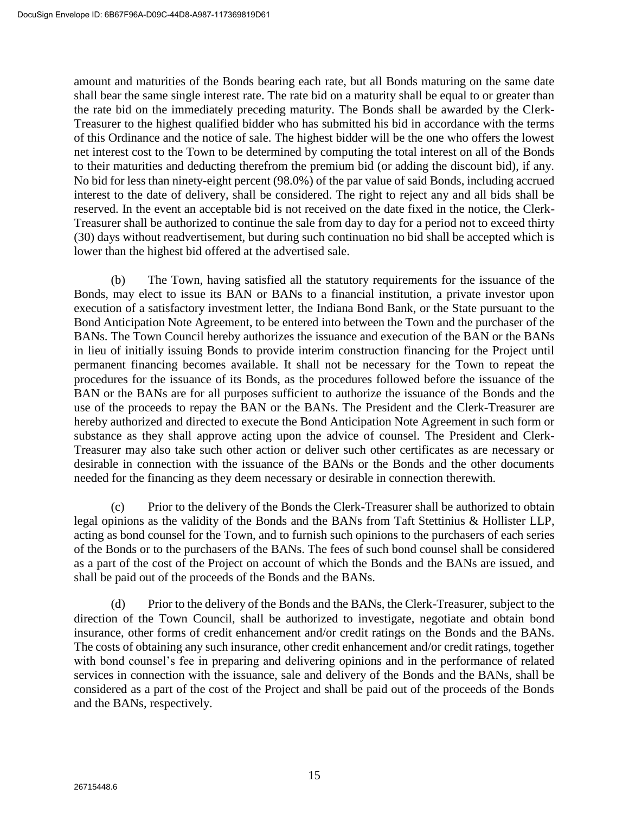amount and maturities of the Bonds bearing each rate, but all Bonds maturing on the same date shall bear the same single interest rate. The rate bid on a maturity shall be equal to or greater than the rate bid on the immediately preceding maturity. The Bonds shall be awarded by the Clerk-Treasurer to the highest qualified bidder who has submitted his bid in accordance with the terms of this Ordinance and the notice of sale. The highest bidder will be the one who offers the lowest net interest cost to the Town to be determined by computing the total interest on all of the Bonds to their maturities and deducting therefrom the premium bid (or adding the discount bid), if any. No bid for less than ninety-eight percent (98.0%) of the par value of said Bonds, including accrued interest to the date of delivery, shall be considered. The right to reject any and all bids shall be reserved. In the event an acceptable bid is not received on the date fixed in the notice, the Clerk-Treasurer shall be authorized to continue the sale from day to day for a period not to exceed thirty (30) days without readvertisement, but during such continuation no bid shall be accepted which is lower than the highest bid offered at the advertised sale.

(b) The Town, having satisfied all the statutory requirements for the issuance of the Bonds, may elect to issue its BAN or BANs to a financial institution, a private investor upon execution of a satisfactory investment letter, the Indiana Bond Bank, or the State pursuant to the Bond Anticipation Note Agreement, to be entered into between the Town and the purchaser of the BANs. The Town Council hereby authorizes the issuance and execution of the BAN or the BANs in lieu of initially issuing Bonds to provide interim construction financing for the Project until permanent financing becomes available. It shall not be necessary for the Town to repeat the procedures for the issuance of its Bonds, as the procedures followed before the issuance of the BAN or the BANs are for all purposes sufficient to authorize the issuance of the Bonds and the use of the proceeds to repay the BAN or the BANs. The President and the Clerk-Treasurer are hereby authorized and directed to execute the Bond Anticipation Note Agreement in such form or substance as they shall approve acting upon the advice of counsel. The President and Clerk-Treasurer may also take such other action or deliver such other certificates as are necessary or desirable in connection with the issuance of the BANs or the Bonds and the other documents needed for the financing as they deem necessary or desirable in connection therewith.

(c) Prior to the delivery of the Bonds the Clerk-Treasurer shall be authorized to obtain legal opinions as the validity of the Bonds and the BANs from Taft Stettinius & Hollister LLP, acting as bond counsel for the Town, and to furnish such opinions to the purchasers of each series of the Bonds or to the purchasers of the BANs. The fees of such bond counsel shall be considered as a part of the cost of the Project on account of which the Bonds and the BANs are issued, and shall be paid out of the proceeds of the Bonds and the BANs.

(d) Prior to the delivery of the Bonds and the BANs, the Clerk-Treasurer, subject to the direction of the Town Council, shall be authorized to investigate, negotiate and obtain bond insurance, other forms of credit enhancement and/or credit ratings on the Bonds and the BANs. The costs of obtaining any such insurance, other credit enhancement and/or credit ratings, together with bond counsel's fee in preparing and delivering opinions and in the performance of related services in connection with the issuance, sale and delivery of the Bonds and the BANs, shall be considered as a part of the cost of the Project and shall be paid out of the proceeds of the Bonds and the BANs, respectively.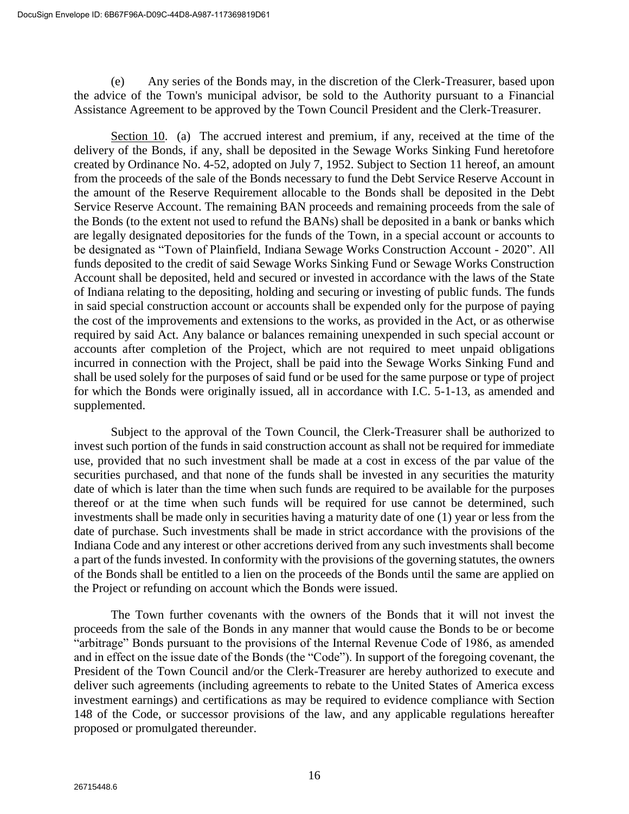(e) Any series of the Bonds may, in the discretion of the Clerk-Treasurer, based upon the advice of the Town's municipal advisor, be sold to the Authority pursuant to a Financial Assistance Agreement to be approved by the Town Council President and the Clerk-Treasurer.

Section 10. (a) The accrued interest and premium, if any, received at the time of the delivery of the Bonds, if any, shall be deposited in the Sewage Works Sinking Fund heretofore created by Ordinance No. 4-52, adopted on July 7, 1952. Subject to Section 11 hereof, an amount from the proceeds of the sale of the Bonds necessary to fund the Debt Service Reserve Account in the amount of the Reserve Requirement allocable to the Bonds shall be deposited in the Debt Service Reserve Account. The remaining BAN proceeds and remaining proceeds from the sale of the Bonds (to the extent not used to refund the BANs) shall be deposited in a bank or banks which are legally designated depositories for the funds of the Town, in a special account or accounts to be designated as "Town of Plainfield, Indiana Sewage Works Construction Account - 2020". All funds deposited to the credit of said Sewage Works Sinking Fund or Sewage Works Construction Account shall be deposited, held and secured or invested in accordance with the laws of the State of Indiana relating to the depositing, holding and securing or investing of public funds. The funds in said special construction account or accounts shall be expended only for the purpose of paying the cost of the improvements and extensions to the works, as provided in the Act, or as otherwise required by said Act. Any balance or balances remaining unexpended in such special account or accounts after completion of the Project, which are not required to meet unpaid obligations incurred in connection with the Project, shall be paid into the Sewage Works Sinking Fund and shall be used solely for the purposes of said fund or be used for the same purpose or type of project for which the Bonds were originally issued, all in accordance with I.C. 5-1-13, as amended and supplemented.

Subject to the approval of the Town Council, the Clerk-Treasurer shall be authorized to invest such portion of the funds in said construction account as shall not be required for immediate use, provided that no such investment shall be made at a cost in excess of the par value of the securities purchased, and that none of the funds shall be invested in any securities the maturity date of which is later than the time when such funds are required to be available for the purposes thereof or at the time when such funds will be required for use cannot be determined, such investments shall be made only in securities having a maturity date of one (1) year or less from the date of purchase. Such investments shall be made in strict accordance with the provisions of the Indiana Code and any interest or other accretions derived from any such investments shall become a part of the funds invested. In conformity with the provisions of the governing statutes, the owners of the Bonds shall be entitled to a lien on the proceeds of the Bonds until the same are applied on the Project or refunding on account which the Bonds were issued.

The Town further covenants with the owners of the Bonds that it will not invest the proceeds from the sale of the Bonds in any manner that would cause the Bonds to be or become "arbitrage" Bonds pursuant to the provisions of the Internal Revenue Code of 1986, as amended and in effect on the issue date of the Bonds (the "Code"). In support of the foregoing covenant, the President of the Town Council and/or the Clerk-Treasurer are hereby authorized to execute and deliver such agreements (including agreements to rebate to the United States of America excess investment earnings) and certifications as may be required to evidence compliance with Section 148 of the Code, or successor provisions of the law, and any applicable regulations hereafter proposed or promulgated thereunder.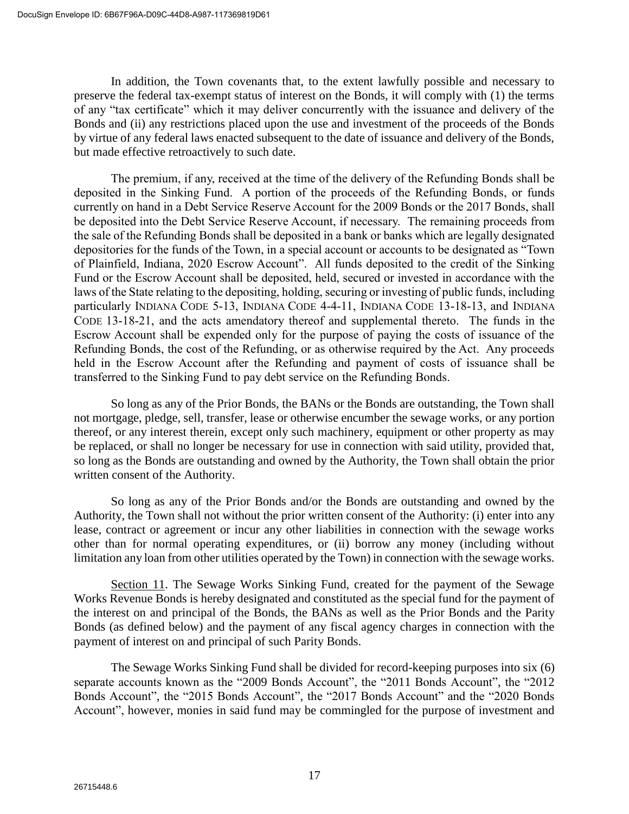In addition, the Town covenants that, to the extent lawfully possible and necessary to preserve the federal tax-exempt status of interest on the Bonds, it will comply with (1) the terms of any "tax certificate" which it may deliver concurrently with the issuance and delivery of the Bonds and (ii) any restrictions placed upon the use and investment of the proceeds of the Bonds by virtue of any federal laws enacted subsequent to the date of issuance and delivery of the Bonds, but made effective retroactively to such date.

The premium, if any, received at the time of the delivery of the Refunding Bonds shall be deposited in the Sinking Fund. A portion of the proceeds of the Refunding Bonds, or funds currently on hand in a Debt Service Reserve Account for the 2009 Bonds or the 2017 Bonds, shall be deposited into the Debt Service Reserve Account, if necessary. The remaining proceeds from the sale of the Refunding Bonds shall be deposited in a bank or banks which are legally designated depositories for the funds of the Town, in a special account or accounts to be designated as "Town of Plainfield, Indiana, 2020 Escrow Account". All funds deposited to the credit of the Sinking Fund or the Escrow Account shall be deposited, held, secured or invested in accordance with the laws of the State relating to the depositing, holding, securing or investing of public funds, including particularly INDIANA CODE 5-13, INDIANA CODE 4-4-11, INDIANA CODE 13-18-13, and INDIANA CODE 13-18-21, and the acts amendatory thereof and supplemental thereto. The funds in the Escrow Account shall be expended only for the purpose of paying the costs of issuance of the Refunding Bonds, the cost of the Refunding, or as otherwise required by the Act. Any proceeds held in the Escrow Account after the Refunding and payment of costs of issuance shall be transferred to the Sinking Fund to pay debt service on the Refunding Bonds.

So long as any of the Prior Bonds, the BANs or the Bonds are outstanding, the Town shall not mortgage, pledge, sell, transfer, lease or otherwise encumber the sewage works, or any portion thereof, or any interest therein, except only such machinery, equipment or other property as may be replaced, or shall no longer be necessary for use in connection with said utility, provided that, so long as the Bonds are outstanding and owned by the Authority, the Town shall obtain the prior written consent of the Authority.

So long as any of the Prior Bonds and/or the Bonds are outstanding and owned by the Authority, the Town shall not without the prior written consent of the Authority: (i) enter into any lease, contract or agreement or incur any other liabilities in connection with the sewage works other than for normal operating expenditures, or (ii) borrow any money (including without limitation any loan from other utilities operated by the Town) in connection with the sewage works.

Section 11. The Sewage Works Sinking Fund, created for the payment of the Sewage Works Revenue Bonds is hereby designated and constituted as the special fund for the payment of the interest on and principal of the Bonds, the BANs as well as the Prior Bonds and the Parity Bonds (as defined below) and the payment of any fiscal agency charges in connection with the payment of interest on and principal of such Parity Bonds.

The Sewage Works Sinking Fund shall be divided for record-keeping purposes into six (6) separate accounts known as the "2009 Bonds Account", the "2011 Bonds Account", the "2012 Bonds Account", the "2015 Bonds Account", the "2017 Bonds Account" and the "2020 Bonds" Account", however, monies in said fund may be commingled for the purpose of investment and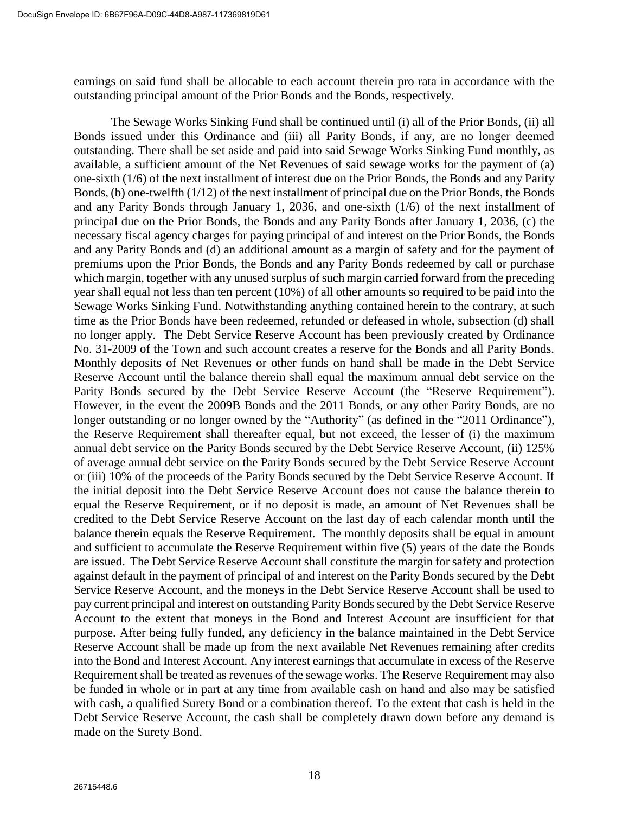earnings on said fund shall be allocable to each account therein pro rata in accordance with the outstanding principal amount of the Prior Bonds and the Bonds, respectively.

The Sewage Works Sinking Fund shall be continued until (i) all of the Prior Bonds, (ii) all Bonds issued under this Ordinance and (iii) all Parity Bonds, if any, are no longer deemed outstanding. There shall be set aside and paid into said Sewage Works Sinking Fund monthly, as available, a sufficient amount of the Net Revenues of said sewage works for the payment of (a) one-sixth (1/6) of the next installment of interest due on the Prior Bonds, the Bonds and any Parity Bonds, (b) one-twelfth (1/12) of the next installment of principal due on the Prior Bonds, the Bonds and any Parity Bonds through January 1, 2036, and one-sixth (1/6) of the next installment of principal due on the Prior Bonds, the Bonds and any Parity Bonds after January 1, 2036, (c) the necessary fiscal agency charges for paying principal of and interest on the Prior Bonds, the Bonds and any Parity Bonds and (d) an additional amount as a margin of safety and for the payment of premiums upon the Prior Bonds, the Bonds and any Parity Bonds redeemed by call or purchase which margin, together with any unused surplus of such margin carried forward from the preceding year shall equal not less than ten percent (10%) of all other amounts so required to be paid into the Sewage Works Sinking Fund. Notwithstanding anything contained herein to the contrary, at such time as the Prior Bonds have been redeemed, refunded or defeased in whole, subsection (d) shall no longer apply. The Debt Service Reserve Account has been previously created by Ordinance No. 31-2009 of the Town and such account creates a reserve for the Bonds and all Parity Bonds. Monthly deposits of Net Revenues or other funds on hand shall be made in the Debt Service Reserve Account until the balance therein shall equal the maximum annual debt service on the Parity Bonds secured by the Debt Service Reserve Account (the "Reserve Requirement"). However, in the event the 2009B Bonds and the 2011 Bonds, or any other Parity Bonds, are no longer outstanding or no longer owned by the "Authority" (as defined in the "2011 Ordinance"), the Reserve Requirement shall thereafter equal, but not exceed, the lesser of (i) the maximum annual debt service on the Parity Bonds secured by the Debt Service Reserve Account, (ii) 125% of average annual debt service on the Parity Bonds secured by the Debt Service Reserve Account or (iii) 10% of the proceeds of the Parity Bonds secured by the Debt Service Reserve Account. If the initial deposit into the Debt Service Reserve Account does not cause the balance therein to equal the Reserve Requirement, or if no deposit is made, an amount of Net Revenues shall be credited to the Debt Service Reserve Account on the last day of each calendar month until the balance therein equals the Reserve Requirement. The monthly deposits shall be equal in amount and sufficient to accumulate the Reserve Requirement within five (5) years of the date the Bonds are issued. The Debt Service Reserve Account shall constitute the margin for safety and protection against default in the payment of principal of and interest on the Parity Bonds secured by the Debt Service Reserve Account, and the moneys in the Debt Service Reserve Account shall be used to pay current principal and interest on outstanding Parity Bonds secured by the Debt Service Reserve Account to the extent that moneys in the Bond and Interest Account are insufficient for that purpose. After being fully funded, any deficiency in the balance maintained in the Debt Service Reserve Account shall be made up from the next available Net Revenues remaining after credits into the Bond and Interest Account. Any interest earnings that accumulate in excess of the Reserve Requirement shall be treated as revenues of the sewage works. The Reserve Requirement may also be funded in whole or in part at any time from available cash on hand and also may be satisfied with cash, a qualified Surety Bond or a combination thereof. To the extent that cash is held in the Debt Service Reserve Account, the cash shall be completely drawn down before any demand is made on the Surety Bond.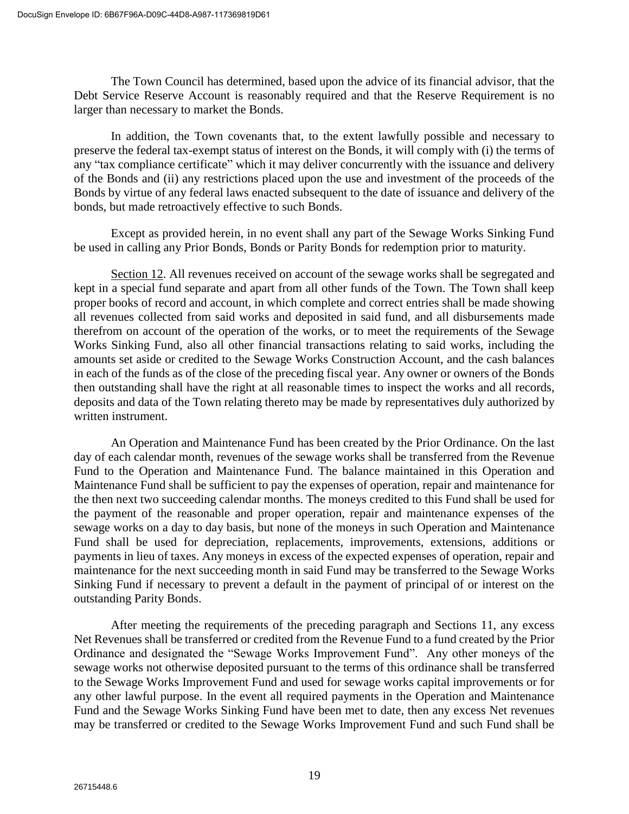The Town Council has determined, based upon the advice of its financial advisor, that the Debt Service Reserve Account is reasonably required and that the Reserve Requirement is no larger than necessary to market the Bonds.

In addition, the Town covenants that, to the extent lawfully possible and necessary to preserve the federal tax-exempt status of interest on the Bonds, it will comply with (i) the terms of any "tax compliance certificate" which it may deliver concurrently with the issuance and delivery of the Bonds and (ii) any restrictions placed upon the use and investment of the proceeds of the Bonds by virtue of any federal laws enacted subsequent to the date of issuance and delivery of the bonds, but made retroactively effective to such Bonds.

Except as provided herein, in no event shall any part of the Sewage Works Sinking Fund be used in calling any Prior Bonds, Bonds or Parity Bonds for redemption prior to maturity.

Section 12. All revenues received on account of the sewage works shall be segregated and kept in a special fund separate and apart from all other funds of the Town. The Town shall keep proper books of record and account, in which complete and correct entries shall be made showing all revenues collected from said works and deposited in said fund, and all disbursements made therefrom on account of the operation of the works, or to meet the requirements of the Sewage Works Sinking Fund, also all other financial transactions relating to said works, including the amounts set aside or credited to the Sewage Works Construction Account, and the cash balances in each of the funds as of the close of the preceding fiscal year. Any owner or owners of the Bonds then outstanding shall have the right at all reasonable times to inspect the works and all records, deposits and data of the Town relating thereto may be made by representatives duly authorized by written instrument.

An Operation and Maintenance Fund has been created by the Prior Ordinance. On the last day of each calendar month, revenues of the sewage works shall be transferred from the Revenue Fund to the Operation and Maintenance Fund. The balance maintained in this Operation and Maintenance Fund shall be sufficient to pay the expenses of operation, repair and maintenance for the then next two succeeding calendar months. The moneys credited to this Fund shall be used for the payment of the reasonable and proper operation, repair and maintenance expenses of the sewage works on a day to day basis, but none of the moneys in such Operation and Maintenance Fund shall be used for depreciation, replacements, improvements, extensions, additions or payments in lieu of taxes. Any moneys in excess of the expected expenses of operation, repair and maintenance for the next succeeding month in said Fund may be transferred to the Sewage Works Sinking Fund if necessary to prevent a default in the payment of principal of or interest on the outstanding Parity Bonds.

After meeting the requirements of the preceding paragraph and Sections 11, any excess Net Revenues shall be transferred or credited from the Revenue Fund to a fund created by the Prior Ordinance and designated the "Sewage Works Improvement Fund". Any other moneys of the sewage works not otherwise deposited pursuant to the terms of this ordinance shall be transferred to the Sewage Works Improvement Fund and used for sewage works capital improvements or for any other lawful purpose. In the event all required payments in the Operation and Maintenance Fund and the Sewage Works Sinking Fund have been met to date, then any excess Net revenues may be transferred or credited to the Sewage Works Improvement Fund and such Fund shall be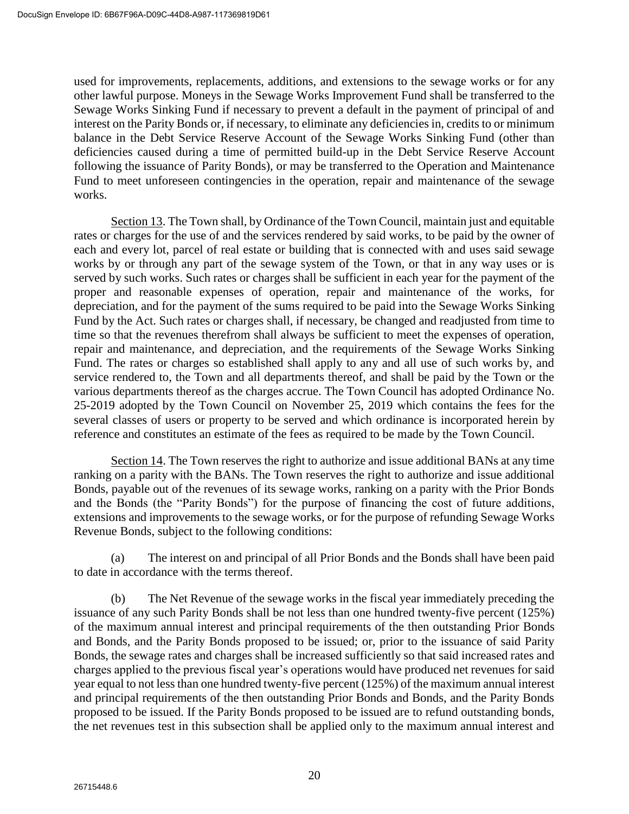used for improvements, replacements, additions, and extensions to the sewage works or for any other lawful purpose. Moneys in the Sewage Works Improvement Fund shall be transferred to the Sewage Works Sinking Fund if necessary to prevent a default in the payment of principal of and interest on the Parity Bonds or, if necessary, to eliminate any deficiencies in, credits to or minimum balance in the Debt Service Reserve Account of the Sewage Works Sinking Fund (other than deficiencies caused during a time of permitted build-up in the Debt Service Reserve Account following the issuance of Parity Bonds), or may be transferred to the Operation and Maintenance Fund to meet unforeseen contingencies in the operation, repair and maintenance of the sewage works.

Section 13. The Town shall, by Ordinance of the Town Council, maintain just and equitable rates or charges for the use of and the services rendered by said works, to be paid by the owner of each and every lot, parcel of real estate or building that is connected with and uses said sewage works by or through any part of the sewage system of the Town, or that in any way uses or is served by such works. Such rates or charges shall be sufficient in each year for the payment of the proper and reasonable expenses of operation, repair and maintenance of the works, for depreciation, and for the payment of the sums required to be paid into the Sewage Works Sinking Fund by the Act. Such rates or charges shall, if necessary, be changed and readjusted from time to time so that the revenues therefrom shall always be sufficient to meet the expenses of operation, repair and maintenance, and depreciation, and the requirements of the Sewage Works Sinking Fund. The rates or charges so established shall apply to any and all use of such works by, and service rendered to, the Town and all departments thereof, and shall be paid by the Town or the various departments thereof as the charges accrue. The Town Council has adopted Ordinance No. 25-2019 adopted by the Town Council on November 25, 2019 which contains the fees for the several classes of users or property to be served and which ordinance is incorporated herein by reference and constitutes an estimate of the fees as required to be made by the Town Council.

Section 14. The Town reserves the right to authorize and issue additional BANs at any time ranking on a parity with the BANs. The Town reserves the right to authorize and issue additional Bonds, payable out of the revenues of its sewage works, ranking on a parity with the Prior Bonds and the Bonds (the "Parity Bonds") for the purpose of financing the cost of future additions, extensions and improvements to the sewage works, or for the purpose of refunding Sewage Works Revenue Bonds, subject to the following conditions:

(a) The interest on and principal of all Prior Bonds and the Bonds shall have been paid to date in accordance with the terms thereof.

(b) The Net Revenue of the sewage works in the fiscal year immediately preceding the issuance of any such Parity Bonds shall be not less than one hundred twenty-five percent (125%) of the maximum annual interest and principal requirements of the then outstanding Prior Bonds and Bonds, and the Parity Bonds proposed to be issued; or, prior to the issuance of said Parity Bonds, the sewage rates and charges shall be increased sufficiently so that said increased rates and charges applied to the previous fiscal year's operations would have produced net revenues for said year equal to not less than one hundred twenty-five percent (125%) of the maximum annual interest and principal requirements of the then outstanding Prior Bonds and Bonds, and the Parity Bonds proposed to be issued. If the Parity Bonds proposed to be issued are to refund outstanding bonds, the net revenues test in this subsection shall be applied only to the maximum annual interest and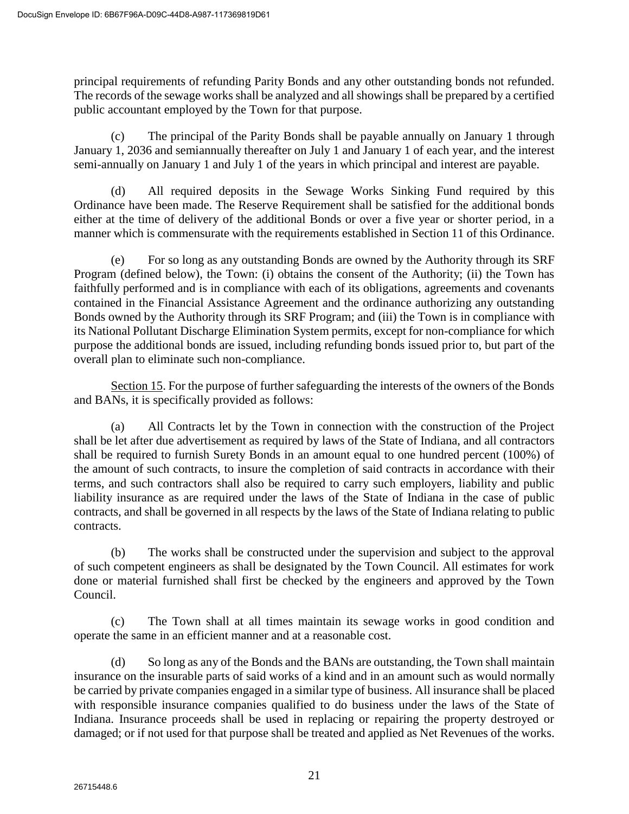principal requirements of refunding Parity Bonds and any other outstanding bonds not refunded. The records of the sewage works shall be analyzed and all showings shall be prepared by a certified public accountant employed by the Town for that purpose.

(c) The principal of the Parity Bonds shall be payable annually on January 1 through January 1, 2036 and semiannually thereafter on July 1 and January 1 of each year, and the interest semi-annually on January 1 and July 1 of the years in which principal and interest are payable.

(d) All required deposits in the Sewage Works Sinking Fund required by this Ordinance have been made. The Reserve Requirement shall be satisfied for the additional bonds either at the time of delivery of the additional Bonds or over a five year or shorter period, in a manner which is commensurate with the requirements established in Section 11 of this Ordinance.

(e) For so long as any outstanding Bonds are owned by the Authority through its SRF Program (defined below), the Town: (i) obtains the consent of the Authority; (ii) the Town has faithfully performed and is in compliance with each of its obligations, agreements and covenants contained in the Financial Assistance Agreement and the ordinance authorizing any outstanding Bonds owned by the Authority through its SRF Program; and (iii) the Town is in compliance with its National Pollutant Discharge Elimination System permits, except for non-compliance for which purpose the additional bonds are issued, including refunding bonds issued prior to, but part of the overall plan to eliminate such non-compliance.

Section 15. For the purpose of further safeguarding the interests of the owners of the Bonds and BANs, it is specifically provided as follows:

(a) All Contracts let by the Town in connection with the construction of the Project shall be let after due advertisement as required by laws of the State of Indiana, and all contractors shall be required to furnish Surety Bonds in an amount equal to one hundred percent (100%) of the amount of such contracts, to insure the completion of said contracts in accordance with their terms, and such contractors shall also be required to carry such employers, liability and public liability insurance as are required under the laws of the State of Indiana in the case of public contracts, and shall be governed in all respects by the laws of the State of Indiana relating to public contracts.

(b) The works shall be constructed under the supervision and subject to the approval of such competent engineers as shall be designated by the Town Council. All estimates for work done or material furnished shall first be checked by the engineers and approved by the Town Council.

(c) The Town shall at all times maintain its sewage works in good condition and operate the same in an efficient manner and at a reasonable cost.

(d) So long as any of the Bonds and the BANs are outstanding, the Town shall maintain insurance on the insurable parts of said works of a kind and in an amount such as would normally be carried by private companies engaged in a similar type of business. All insurance shall be placed with responsible insurance companies qualified to do business under the laws of the State of Indiana. Insurance proceeds shall be used in replacing or repairing the property destroyed or damaged; or if not used for that purpose shall be treated and applied as Net Revenues of the works.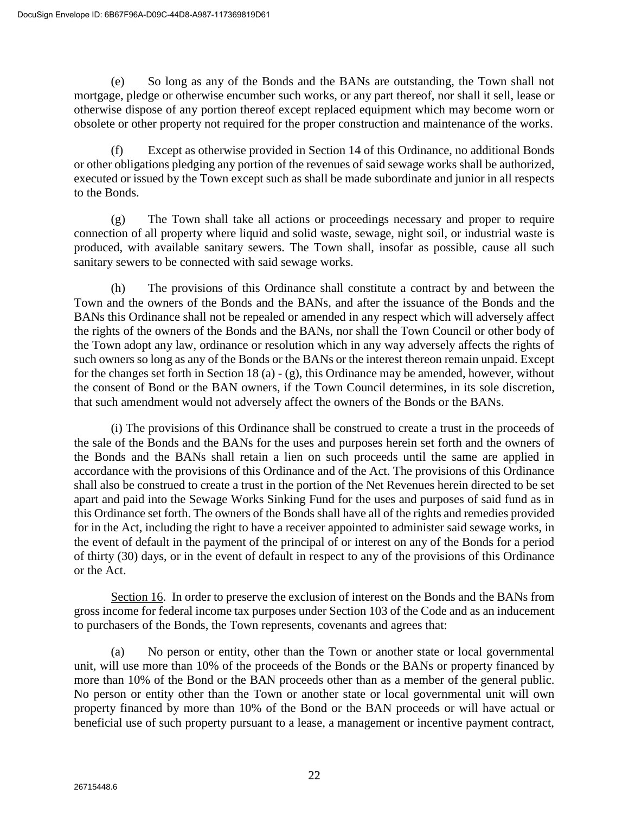(e) So long as any of the Bonds and the BANs are outstanding, the Town shall not mortgage, pledge or otherwise encumber such works, or any part thereof, nor shall it sell, lease or otherwise dispose of any portion thereof except replaced equipment which may become worn or obsolete or other property not required for the proper construction and maintenance of the works.

(f) Except as otherwise provided in Section 14 of this Ordinance, no additional Bonds or other obligations pledging any portion of the revenues of said sewage works shall be authorized, executed or issued by the Town except such as shall be made subordinate and junior in all respects to the Bonds.

(g) The Town shall take all actions or proceedings necessary and proper to require connection of all property where liquid and solid waste, sewage, night soil, or industrial waste is produced, with available sanitary sewers. The Town shall, insofar as possible, cause all such sanitary sewers to be connected with said sewage works.

(h) The provisions of this Ordinance shall constitute a contract by and between the Town and the owners of the Bonds and the BANs, and after the issuance of the Bonds and the BANs this Ordinance shall not be repealed or amended in any respect which will adversely affect the rights of the owners of the Bonds and the BANs, nor shall the Town Council or other body of the Town adopt any law, ordinance or resolution which in any way adversely affects the rights of such owners so long as any of the Bonds or the BANs or the interest thereon remain unpaid. Except for the changes set forth in Section 18 (a) - (g), this Ordinance may be amended, however, without the consent of Bond or the BAN owners, if the Town Council determines, in its sole discretion, that such amendment would not adversely affect the owners of the Bonds or the BANs.

(i) The provisions of this Ordinance shall be construed to create a trust in the proceeds of the sale of the Bonds and the BANs for the uses and purposes herein set forth and the owners of the Bonds and the BANs shall retain a lien on such proceeds until the same are applied in accordance with the provisions of this Ordinance and of the Act. The provisions of this Ordinance shall also be construed to create a trust in the portion of the Net Revenues herein directed to be set apart and paid into the Sewage Works Sinking Fund for the uses and purposes of said fund as in this Ordinance set forth. The owners of the Bonds shall have all of the rights and remedies provided for in the Act, including the right to have a receiver appointed to administer said sewage works, in the event of default in the payment of the principal of or interest on any of the Bonds for a period of thirty (30) days, or in the event of default in respect to any of the provisions of this Ordinance or the Act.

Section 16. In order to preserve the exclusion of interest on the Bonds and the BANs from gross income for federal income tax purposes under Section 103 of the Code and as an inducement to purchasers of the Bonds, the Town represents, covenants and agrees that:

(a) No person or entity, other than the Town or another state or local governmental unit, will use more than 10% of the proceeds of the Bonds or the BANs or property financed by more than 10% of the Bond or the BAN proceeds other than as a member of the general public. No person or entity other than the Town or another state or local governmental unit will own property financed by more than 10% of the Bond or the BAN proceeds or will have actual or beneficial use of such property pursuant to a lease, a management or incentive payment contract,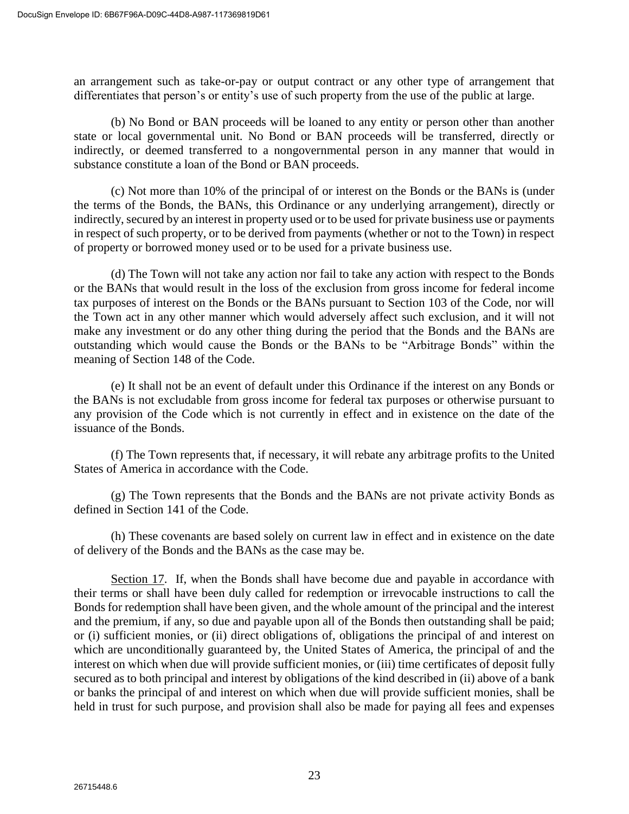an arrangement such as take-or-pay or output contract or any other type of arrangement that differentiates that person's or entity's use of such property from the use of the public at large.

(b) No Bond or BAN proceeds will be loaned to any entity or person other than another state or local governmental unit. No Bond or BAN proceeds will be transferred, directly or indirectly, or deemed transferred to a nongovernmental person in any manner that would in substance constitute a loan of the Bond or BAN proceeds.

(c) Not more than 10% of the principal of or interest on the Bonds or the BANs is (under the terms of the Bonds, the BANs, this Ordinance or any underlying arrangement), directly or indirectly, secured by an interest in property used or to be used for private business use or payments in respect of such property, or to be derived from payments (whether or not to the Town) in respect of property or borrowed money used or to be used for a private business use.

(d) The Town will not take any action nor fail to take any action with respect to the Bonds or the BANs that would result in the loss of the exclusion from gross income for federal income tax purposes of interest on the Bonds or the BANs pursuant to Section 103 of the Code, nor will the Town act in any other manner which would adversely affect such exclusion, and it will not make any investment or do any other thing during the period that the Bonds and the BANs are outstanding which would cause the Bonds or the BANs to be "Arbitrage Bonds" within the meaning of Section 148 of the Code.

(e) It shall not be an event of default under this Ordinance if the interest on any Bonds or the BANs is not excludable from gross income for federal tax purposes or otherwise pursuant to any provision of the Code which is not currently in effect and in existence on the date of the issuance of the Bonds.

(f) The Town represents that, if necessary, it will rebate any arbitrage profits to the United States of America in accordance with the Code.

(g) The Town represents that the Bonds and the BANs are not private activity Bonds as defined in Section 141 of the Code.

(h) These covenants are based solely on current law in effect and in existence on the date of delivery of the Bonds and the BANs as the case may be.

Section 17. If, when the Bonds shall have become due and payable in accordance with their terms or shall have been duly called for redemption or irrevocable instructions to call the Bonds for redemption shall have been given, and the whole amount of the principal and the interest and the premium, if any, so due and payable upon all of the Bonds then outstanding shall be paid; or (i) sufficient monies, or (ii) direct obligations of, obligations the principal of and interest on which are unconditionally guaranteed by, the United States of America, the principal of and the interest on which when due will provide sufficient monies, or (iii) time certificates of deposit fully secured as to both principal and interest by obligations of the kind described in (ii) above of a bank or banks the principal of and interest on which when due will provide sufficient monies, shall be held in trust for such purpose, and provision shall also be made for paying all fees and expenses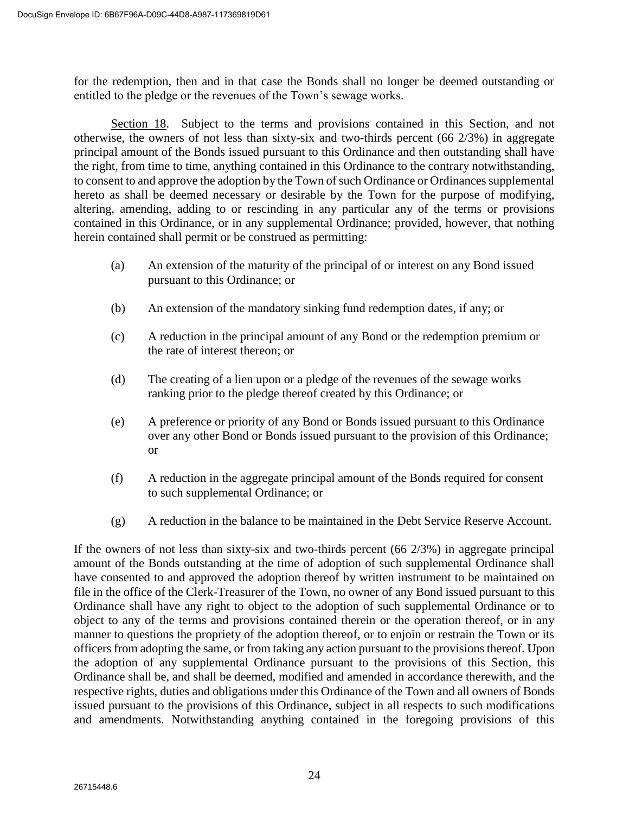for the redemption, then and in that case the Bonds shall no longer be deemed outstanding or entitled to the pledge or the revenues of the Town's sewage works.

Section 18. Subject to the terms and provisions contained in this Section, and not otherwise, the owners of not less than sixty-six and two-thirds percent (66 2/3%) in aggregate principal amount of the Bonds issued pursuant to this Ordinance and then outstanding shall have the right, from time to time, anything contained in this Ordinance to the contrary notwithstanding, to consent to and approve the adoption by the Town of such Ordinance or Ordinances supplemental hereto as shall be deemed necessary or desirable by the Town for the purpose of modifying, altering, amending, adding to or rescinding in any particular any of the terms or provisions contained in this Ordinance, or in any supplemental Ordinance; provided, however, that nothing herein contained shall permit or be construed as permitting:

- (a) An extension of the maturity of the principal of or interest on any Bond issued pursuant to this Ordinance; or
- (b) An extension of the mandatory sinking fund redemption dates, if any; or
- (c) A reduction in the principal amount of any Bond or the redemption premium or the rate of interest thereon; or
- (d) The creating of a lien upon or a pledge of the revenues of the sewage works ranking prior to the pledge thereof created by this Ordinance; or
- (e) A preference or priority of any Bond or Bonds issued pursuant to this Ordinance over any other Bond or Bonds issued pursuant to the provision of this Ordinance; or
- (f) A reduction in the aggregate principal amount of the Bonds required for consent to such supplemental Ordinance; or
- (g) A reduction in the balance to be maintained in the Debt Service Reserve Account.

If the owners of not less than sixty-six and two-thirds percent  $(66\ 2/3%)$  in aggregate principal amount of the Bonds outstanding at the time of adoption of such supplemental Ordinance shall have consented to and approved the adoption thereof by written instrument to be maintained on file in the office of the Clerk-Treasurer of the Town, no owner of any Bond issued pursuant to this Ordinance shall have any right to object to the adoption of such supplemental Ordinance or to object to any of the terms and provisions contained therein or the operation thereof, or in any manner to questions the propriety of the adoption thereof, or to enjoin or restrain the Town or its officers from adopting the same, or from taking any action pursuant to the provisions thereof. Upon the adoption of any supplemental Ordinance pursuant to the provisions of this Section, this Ordinance shall be, and shall be deemed, modified and amended in accordance therewith, and the respective rights, duties and obligations under this Ordinance of the Town and all owners of Bonds issued pursuant to the provisions of this Ordinance, subject in all respects to such modifications and amendments. Notwithstanding anything contained in the foregoing provisions of this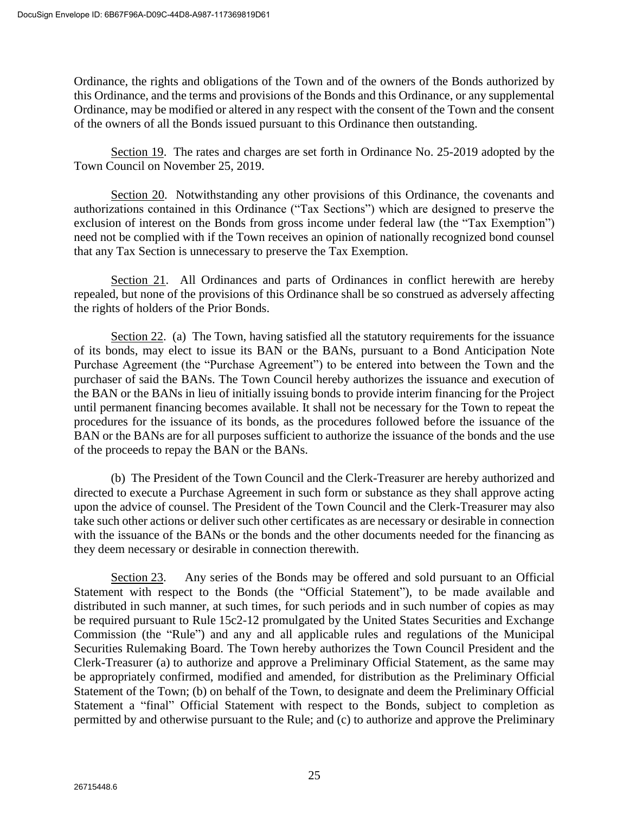Ordinance, the rights and obligations of the Town and of the owners of the Bonds authorized by this Ordinance, and the terms and provisions of the Bonds and this Ordinance, or any supplemental Ordinance, may be modified or altered in any respect with the consent of the Town and the consent of the owners of all the Bonds issued pursuant to this Ordinance then outstanding.

Section 19. The rates and charges are set forth in Ordinance No. 25-2019 adopted by the Town Council on November 25, 2019.

Section 20. Notwithstanding any other provisions of this Ordinance, the covenants and authorizations contained in this Ordinance ("Tax Sections") which are designed to preserve the exclusion of interest on the Bonds from gross income under federal law (the "Tax Exemption") need not be complied with if the Town receives an opinion of nationally recognized bond counsel that any Tax Section is unnecessary to preserve the Tax Exemption.

Section 21. All Ordinances and parts of Ordinances in conflict herewith are hereby repealed, but none of the provisions of this Ordinance shall be so construed as adversely affecting the rights of holders of the Prior Bonds.

Section 22. (a) The Town, having satisfied all the statutory requirements for the issuance of its bonds, may elect to issue its BAN or the BANs, pursuant to a Bond Anticipation Note Purchase Agreement (the "Purchase Agreement") to be entered into between the Town and the purchaser of said the BANs. The Town Council hereby authorizes the issuance and execution of the BAN or the BANs in lieu of initially issuing bonds to provide interim financing for the Project until permanent financing becomes available. It shall not be necessary for the Town to repeat the procedures for the issuance of its bonds, as the procedures followed before the issuance of the BAN or the BANs are for all purposes sufficient to authorize the issuance of the bonds and the use of the proceeds to repay the BAN or the BANs.

(b) The President of the Town Council and the Clerk-Treasurer are hereby authorized and directed to execute a Purchase Agreement in such form or substance as they shall approve acting upon the advice of counsel. The President of the Town Council and the Clerk-Treasurer may also take such other actions or deliver such other certificates as are necessary or desirable in connection with the issuance of the BANs or the bonds and the other documents needed for the financing as they deem necessary or desirable in connection therewith.

Section 23. Any series of the Bonds may be offered and sold pursuant to an Official Statement with respect to the Bonds (the "Official Statement"), to be made available and distributed in such manner, at such times, for such periods and in such number of copies as may be required pursuant to Rule 15c2-12 promulgated by the United States Securities and Exchange Commission (the "Rule") and any and all applicable rules and regulations of the Municipal Securities Rulemaking Board. The Town hereby authorizes the Town Council President and the Clerk-Treasurer (a) to authorize and approve a Preliminary Official Statement, as the same may be appropriately confirmed, modified and amended, for distribution as the Preliminary Official Statement of the Town; (b) on behalf of the Town, to designate and deem the Preliminary Official Statement a "final" Official Statement with respect to the Bonds, subject to completion as permitted by and otherwise pursuant to the Rule; and (c) to authorize and approve the Preliminary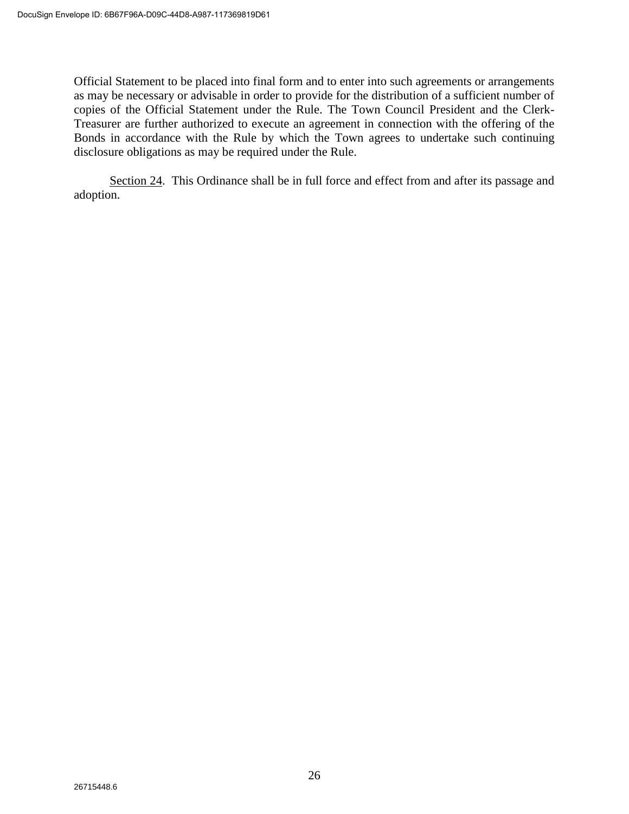Official Statement to be placed into final form and to enter into such agreements or arrangements as may be necessary or advisable in order to provide for the distribution of a sufficient number of copies of the Official Statement under the Rule. The Town Council President and the Clerk-Treasurer are further authorized to execute an agreement in connection with the offering of the Bonds in accordance with the Rule by which the Town agrees to undertake such continuing disclosure obligations as may be required under the Rule.

Section 24. This Ordinance shall be in full force and effect from and after its passage and adoption.